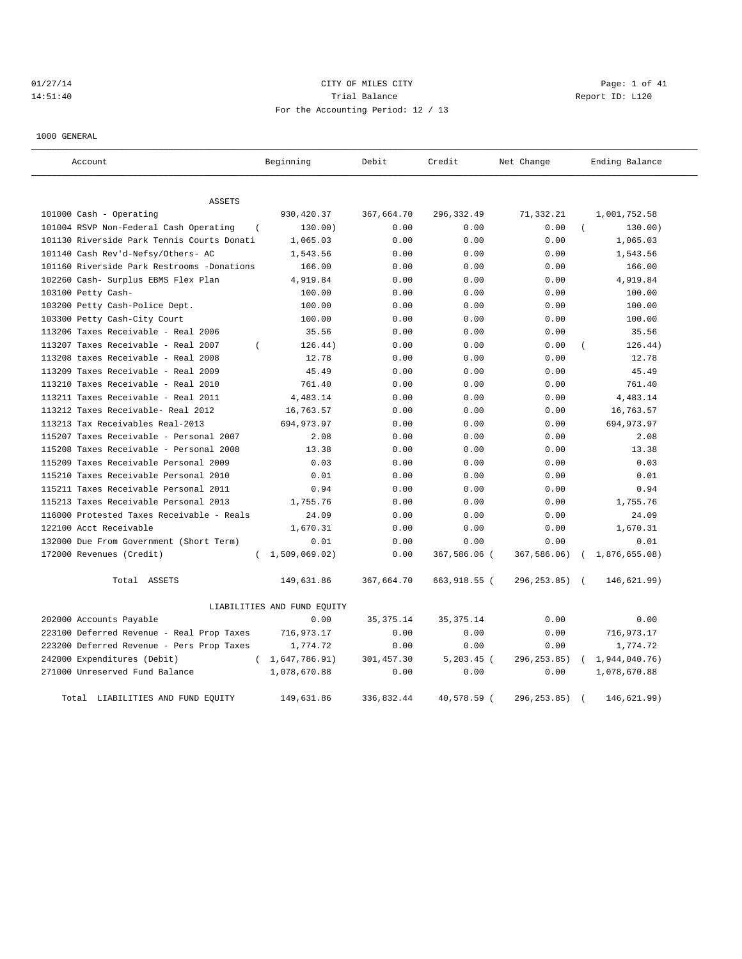# 01/27/14 Page: 1 of 41 14:51:40 **Trial Balance Trial Balance Report ID:** L120 For the Accounting Period: 12 / 13

1000 GENERAL

| Account                                         | Beginning                   | Debit       | Credit        | Net Change       | Ending Balance            |  |  |  |
|-------------------------------------------------|-----------------------------|-------------|---------------|------------------|---------------------------|--|--|--|
| <b>ASSETS</b>                                   |                             |             |               |                  |                           |  |  |  |
| $101000$ Cash - Operating                       | 930, 420.37                 | 367,664.70  | 296,332.49    | 71,332.21        | 1,001,752.58              |  |  |  |
| 101004 RSVP Non-Federal Cash Operating          | 130.00)                     | 0.00        | 0.00          | 0.00             | 130.00)                   |  |  |  |
| 101130 Riverside Park Tennis Courts Donati      | 1,065.03                    | 0.00        | 0.00          | 0.00             | 1,065.03                  |  |  |  |
| 101140 Cash Rev'd-Nefsy/Others- AC              | 1,543.56                    | 0.00        | 0.00          | 0.00             | 1,543.56                  |  |  |  |
| 101160 Riverside Park Restrooms -Donations      | 166.00                      | 0.00        | 0.00          | 0.00             | 166.00                    |  |  |  |
| 102260 Cash- Surplus EBMS Flex Plan             | 4,919.84                    | 0.00        | 0.00          | 0.00             | 4,919.84                  |  |  |  |
| 103100 Petty Cash-                              | 100.00                      | 0.00        | 0.00          | 0.00             | 100.00                    |  |  |  |
| 103200 Petty Cash-Police Dept.                  | 100.00                      | 0.00        | 0.00          | 0.00             | 100.00                    |  |  |  |
| 103300 Petty Cash-City Court                    | 100.00                      | 0.00        | 0.00          | 0.00             | 100.00                    |  |  |  |
| 113206 Taxes Receivable - Real 2006             | 35.56                       | 0.00        | 0.00          | 0.00             | 35.56                     |  |  |  |
| 113207 Taxes Receivable - Real 2007<br>$\left($ | 126.44)                     | 0.00        | 0.00          | 0.00             | 126.44)                   |  |  |  |
| 113208 taxes Receivable - Real 2008             | 12.78                       | 0.00        | 0.00          | 0.00             | 12.78                     |  |  |  |
| 113209 Taxes Receivable - Real 2009             | 45.49                       | 0.00        | 0.00          | 0.00             | 45.49                     |  |  |  |
| 113210 Taxes Receivable - Real 2010             | 761.40                      | 0.00        | 0.00          | 0.00             | 761.40                    |  |  |  |
| 113211 Taxes Receivable - Real 2011             | 4,483.14                    | 0.00        | 0.00          | 0.00             | 4,483.14                  |  |  |  |
| 113212 Taxes Receivable- Real 2012              | 16,763.57                   | 0.00        | 0.00          | 0.00             | 16,763.57                 |  |  |  |
| 113213 Tax Receivables Real-2013                | 694,973.97                  | 0.00        | 0.00          | 0.00             | 694,973.97                |  |  |  |
| 115207 Taxes Receivable - Personal 2007         | 2.08                        | 0.00        | 0.00          | 0.00             | 2.08                      |  |  |  |
| 115208 Taxes Receivable - Personal 2008         | 13.38                       | 0.00        | 0.00          | 0.00             | 13.38                     |  |  |  |
| 115209 Taxes Receivable Personal 2009           | 0.03                        | 0.00        | 0.00          | 0.00             | 0.03                      |  |  |  |
| 115210 Taxes Receivable Personal 2010           | 0.01                        | 0.00        | 0.00          | 0.00             | 0.01                      |  |  |  |
| 115211 Taxes Receivable Personal 2011           | 0.94                        | 0.00        | 0.00          | 0.00             | 0.94                      |  |  |  |
| 115213 Taxes Receivable Personal 2013           | 1,755.76                    | 0.00        | 0.00          | 0.00             | 1,755.76                  |  |  |  |
| 116000 Protested Taxes Receivable - Reals       | 24.09                       | 0.00        | 0.00          | 0.00             | 24.09                     |  |  |  |
| 122100 Acct Receivable                          | 1,670.31                    | 0.00        | 0.00          | 0.00             | 1,670.31                  |  |  |  |
| 132000 Due From Government (Short Term)         | 0.01                        | 0.00        | 0.00          | 0.00             | 0.01                      |  |  |  |
| 172000 Revenues (Credit)<br>$\left($            | 1,509,069.02)               | 0.00        | 367,586.06 (  | 367,586.06)      | 1,876,655.08)             |  |  |  |
| Total ASSETS                                    | 149,631.86                  | 367,664.70  | 663,918.55 (  | $296, 253, 85$ ( | 146,621.99)               |  |  |  |
|                                                 | LIABILITIES AND FUND EQUITY |             |               |                  |                           |  |  |  |
| 202000 Accounts Payable                         | 0.00                        | 35, 375. 14 | 35, 375. 14   | 0.00             | 0.00                      |  |  |  |
| 223100 Deferred Revenue - Real Prop Taxes       | 716,973.17                  | 0.00        | 0.00          | 0.00             | 716,973.17                |  |  |  |
| 223200 Deferred Revenue - Pers Prop Taxes       | 1,774.72                    | 0.00        | 0.00          | 0.00             | 1,774.72                  |  |  |  |
| 242000 Expenditures (Debit)<br>$\left($         | 1,647,786.91)               | 301,457.30  | $5, 203.45$ ( | 296, 253.85)     | 1,944,040.76)             |  |  |  |
| 271000 Unreserved Fund Balance                  | 1,078,670.88                | 0.00        | 0.00          | 0.00             | 1,078,670.88              |  |  |  |
| Total LIABILITIES AND FUND EQUITY               | 149,631.86                  | 336,832.44  | 40,578.59 (   | 296, 253.85)     | 146,621.99)<br>$\sqrt{2}$ |  |  |  |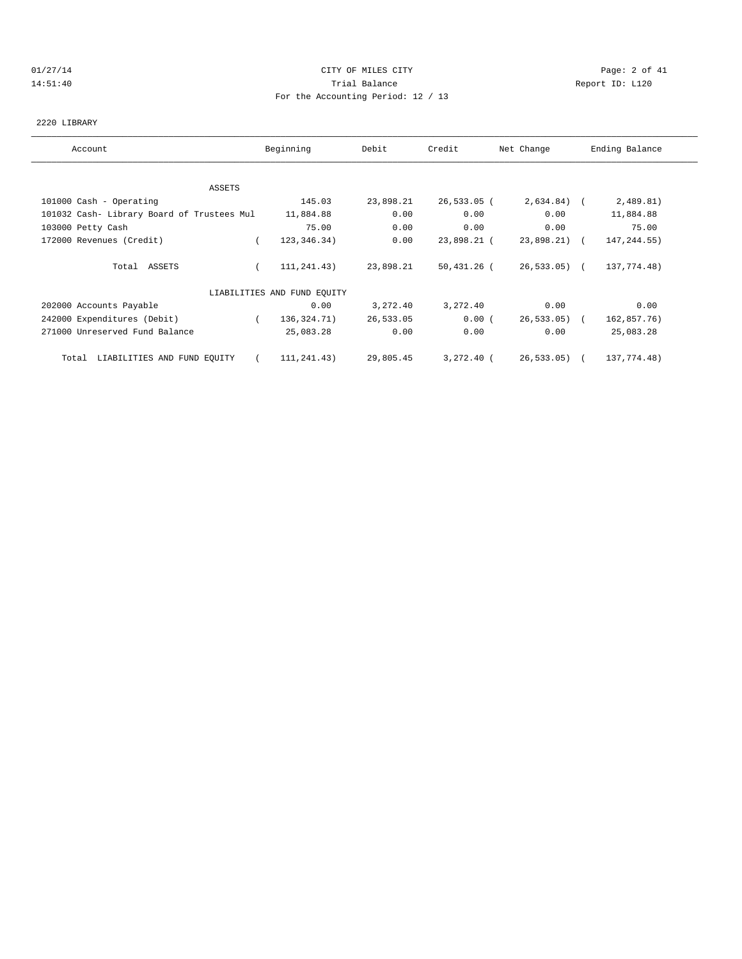#### 01/27/14 Page: 2 of 41 14:51:40 Trial Balance Report ID: L120 For the Accounting Period: 12 / 13

#### 2220 LIBRARY

| Account                                    | Beginning                   | Debit     | Credit       | Net Change     | Ending Balance |
|--------------------------------------------|-----------------------------|-----------|--------------|----------------|----------------|
|                                            |                             |           |              |                |                |
| ASSETS                                     |                             |           |              |                |                |
| 101000 Cash - Operating                    | 145.03                      | 23,898.21 | 26,533.05 (  | $2,634.84$ ) ( | 2,489.81)      |
| 101032 Cash- Library Board of Trustees Mul | 11,884.88                   | 0.00      | 0.00         | 0.00           | 11,884.88      |
| 103000 Petty Cash                          | 75.00                       | 0.00      | 0.00         | 0.00           | 75.00          |
| 172000 Revenues (Credit)                   | 123, 346. 34)               | 0.00      | 23,898.21 (  | 23,898.21) (   | 147, 244.55)   |
| Total ASSETS                               | 111,241.43)                 | 23,898.21 | 50,431.26 (  | 26,533.05) (   | 137,774.48)    |
|                                            | LIABILITIES AND FUND EQUITY |           |              |                |                |
| 202000 Accounts Payable                    | 0.00                        | 3,272.40  | 3,272.40     | 0.00           | 0.00           |
| 242000 Expenditures (Debit)                | 136,324.71)<br>$\left($     | 26,533.05 | 0.00(        | $26,533.05$ (  | 162,857.76)    |
| 271000 Unreserved Fund Balance             | 25,083.28                   | 0.00      | 0.00         | 0.00           | 25,083.28      |
| Total LIABILITIES AND FUND EOUITY          | 111,241.43)                 | 29,805.45 | $3,272,40$ ( | $26,533.05$ (  | 137,774.48)    |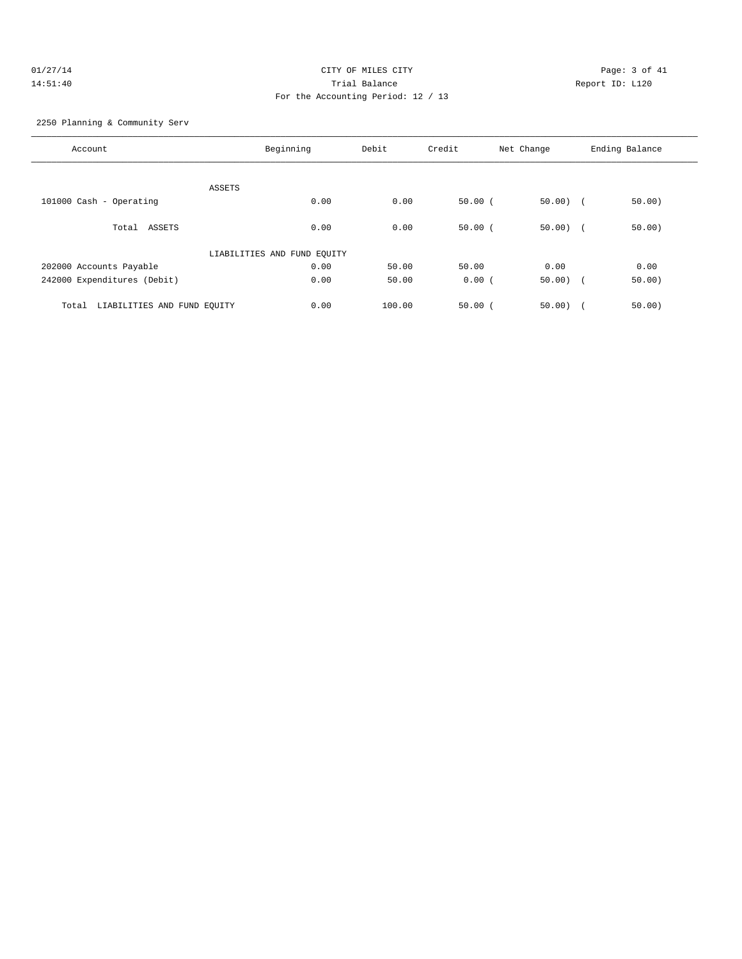# 01/27/14 Page: 3 of 41 14:51:40 Trial Balance Report ID: L120 For the Accounting Period: 12 / 13

2250 Planning & Community Serv

| Account                              | Beginning                   | Debit  | Credit      | Net Change  | Ending Balance |
|--------------------------------------|-----------------------------|--------|-------------|-------------|----------------|
|                                      |                             |        |             |             |                |
|                                      | ASSETS                      |        |             |             |                |
| 101000 Cash - Operating              | 0.00                        | 0.00   | 50.00(      | $50.00$ (   | 50.00)         |
|                                      |                             |        |             |             |                |
| Total ASSETS                         | 0.00                        | 0.00   | 50.00(      | $50.00$ ) ( | 50.00)         |
|                                      | LIABILITIES AND FUND EQUITY |        |             |             |                |
| 202000 Accounts Payable              | 0.00                        | 50.00  | 50.00       | 0.00        | 0.00           |
| 242000 Expenditures (Debit)          | 0.00                        | 50.00  | 0.00(       | $50.00)$ (  | 50.00)         |
|                                      |                             |        |             |             |                |
| LIABILITIES AND FUND EQUITY<br>Total | 0.00                        | 100.00 | $50.00$ $($ | 50.00       | 50.00)         |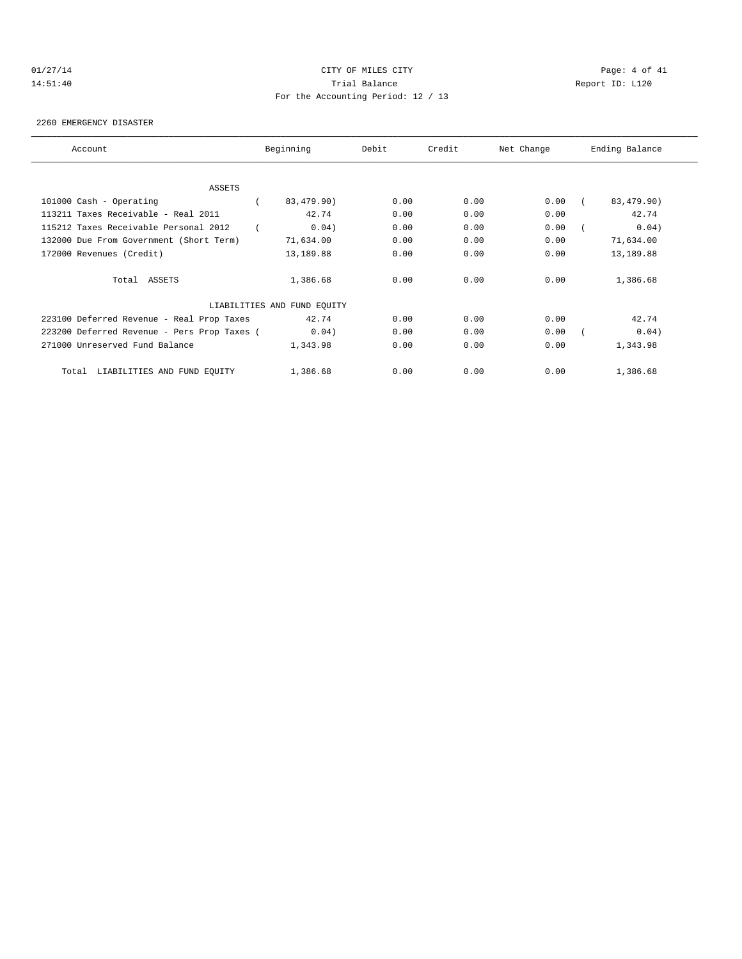# 01/27/14 Page: 4 of 41 14:51:40 Trial Balance Report ID: L120 For the Accounting Period: 12 / 13

2260 EMERGENCY DISASTER

| Account                                     | Beginning                   | Debit | Credit | Net Change | Ending Balance |
|---------------------------------------------|-----------------------------|-------|--------|------------|----------------|
|                                             |                             |       |        |            |                |
| ASSETS                                      |                             |       |        |            |                |
| 101000 Cash - Operating                     | 83,479.90)                  | 0.00  | 0.00   | 0.00       | 83,479.90)     |
| 113211 Taxes Receivable - Real 2011         | 42.74                       | 0.00  | 0.00   | 0.00       | 42.74          |
| 115212 Taxes Receivable Personal 2012       | 0.04)                       | 0.00  | 0.00   | 0.00       | 0.04)          |
| 132000 Due From Government (Short Term)     | 71,634.00                   | 0.00  | 0.00   | 0.00       | 71,634.00      |
| 172000 Revenues (Credit)                    | 13,189.88                   | 0.00  | 0.00   | 0.00       | 13,189.88      |
| Total ASSETS                                | 1,386.68                    | 0.00  | 0.00   | 0.00       | 1,386.68       |
|                                             | LIABILITIES AND FUND EQUITY |       |        |            |                |
| 223100 Deferred Revenue - Real Prop Taxes   | 42.74                       | 0.00  | 0.00   | 0.00       | 42.74          |
| 223200 Deferred Revenue - Pers Prop Taxes ( | 0.04)                       | 0.00  | 0.00   | 0.00       | 0.04)          |
| 271000 Unreserved Fund Balance              | 1,343.98                    | 0.00  | 0.00   | 0.00       | 1,343.98       |
| Total LIABILITIES AND FUND EQUITY           | 1,386.68                    | 0.00  | 0.00   | 0.00       | 1,386.68       |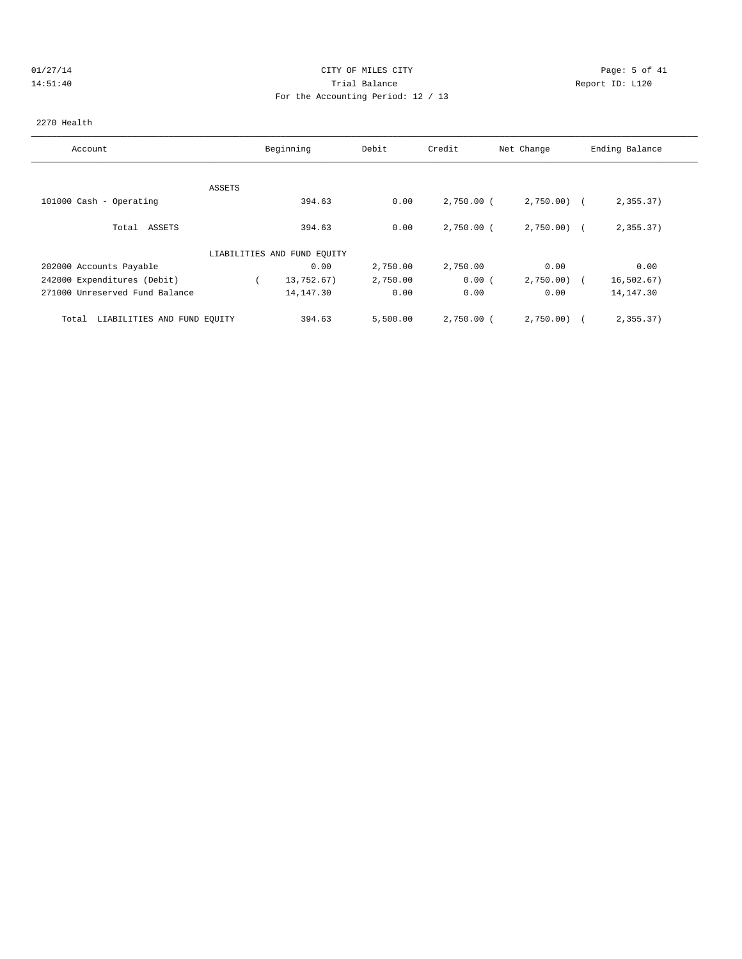# 01/27/14 Page: 5 of 41 14:51:40 Trial Balance Report ID: L120 For the Accounting Period: 12 / 13

#### 2270 Health

| Account                              |        | Beginning                   | Debit    | Credit       | Net Change   | Ending Balance |
|--------------------------------------|--------|-----------------------------|----------|--------------|--------------|----------------|
|                                      |        |                             |          |              |              |                |
|                                      | ASSETS |                             |          |              |              |                |
| 101000 Cash - Operating              |        | 394.63                      | 0.00     | $2,750.00$ ( | $2,750.00$ ( | 2,355.37       |
| Total ASSETS                         |        | 394.63                      | 0.00     | $2,750.00$ ( | $2,750.00$ ( | 2,355.37       |
|                                      |        | LIABILITIES AND FUND EQUITY |          |              |              |                |
| 202000 Accounts Payable              |        | 0.00                        | 2,750.00 | 2,750.00     | 0.00         | 0.00           |
| 242000 Expenditures (Debit)          |        | 13,752.67)                  | 2,750.00 | 0.00(        | $2,750.00$ ( | 16, 502.67)    |
| 271000 Unreserved Fund Balance       |        | 14,147.30                   | 0.00     | 0.00         | 0.00         | 14, 147.30     |
| LIABILITIES AND FUND EQUITY<br>Total |        | 394.63                      | 5,500.00 | 2,750.00 (   | 2,750.00     | 2,355.37       |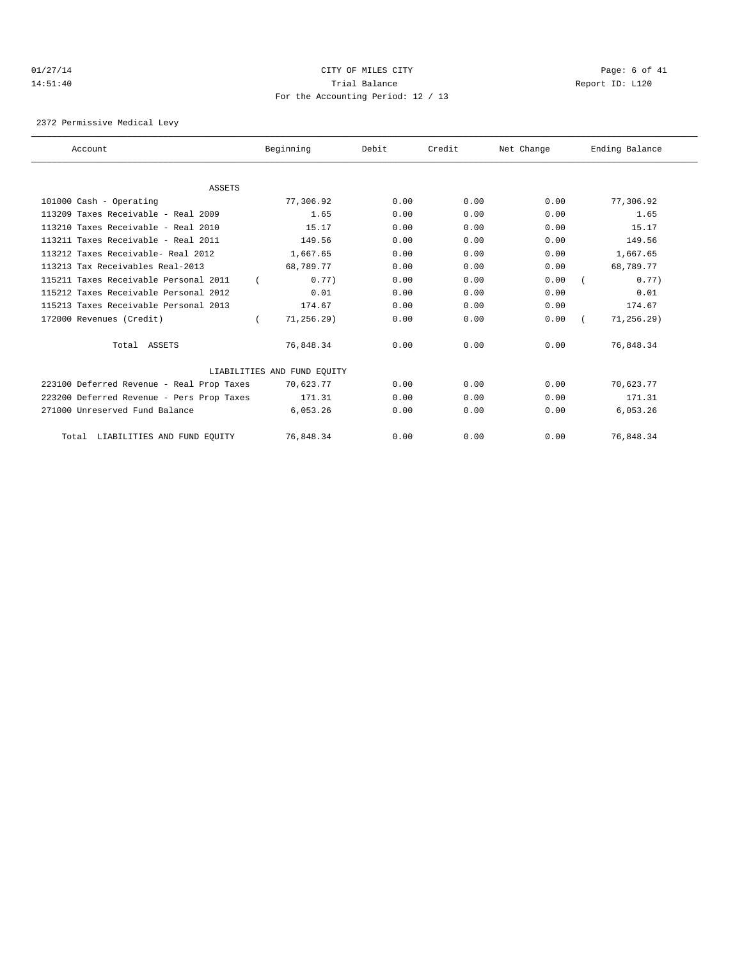# 01/27/14 Page: 6 of 41 14:51:40 Trial Balance Report ID: L120 For the Accounting Period: 12 / 13

2372 Permissive Medical Levy

| Account                                   | Beginning                   | Debit | Credit | Net Change | Ending Balance |  |
|-------------------------------------------|-----------------------------|-------|--------|------------|----------------|--|
|                                           |                             |       |        |            |                |  |
| <b>ASSETS</b>                             |                             |       |        |            |                |  |
| 101000 Cash - Operating                   | 77,306.92                   | 0.00  | 0.00   | 0.00       | 77,306.92      |  |
| 113209 Taxes Receivable - Real 2009       | 1.65                        | 0.00  | 0.00   | 0.00       | 1.65           |  |
| 113210 Taxes Receivable - Real 2010       | 15.17                       | 0.00  | 0.00   | 0.00       | 15.17          |  |
| 113211 Taxes Receivable - Real 2011       | 149.56                      | 0.00  | 0.00   | 0.00       | 149.56         |  |
| 113212 Taxes Receivable- Real 2012        | 1,667.65                    | 0.00  | 0.00   | 0.00       | 1,667.65       |  |
| 113213 Tax Receivables Real-2013          | 68,789.77                   | 0.00  | 0.00   | 0.00       | 68,789.77      |  |
| 115211 Taxes Receivable Personal 2011     | 0.77)                       | 0.00  | 0.00   | 0.00       | 0.77           |  |
| 115212 Taxes Receivable Personal 2012     | 0.01                        | 0.00  | 0.00   | 0.00       | 0.01           |  |
| 115213 Taxes Receivable Personal 2013     | 174.67                      | 0.00  | 0.00   | 0.00       | 174.67         |  |
| 172000 Revenues (Credit)                  | $71, 256.29$ )              | 0.00  | 0.00   | 0.00       | $71, 256.29$ ) |  |
| Total ASSETS                              | 76,848.34                   | 0.00  | 0.00   | 0.00       | 76,848.34      |  |
|                                           | LIABILITIES AND FUND EQUITY |       |        |            |                |  |
| 223100 Deferred Revenue - Real Prop Taxes | 70,623.77                   | 0.00  | 0.00   | 0.00       | 70,623.77      |  |
| 223200 Deferred Revenue - Pers Prop Taxes | 171.31                      | 0.00  | 0.00   | 0.00       | 171.31         |  |
| 271000 Unreserved Fund Balance            | 6,053.26                    | 0.00  | 0.00   | 0.00       | 6,053.26       |  |
| Total LIABILITIES AND FUND EQUITY         | 76,848.34                   | 0.00  | 0.00   | 0.00       | 76,848.34      |  |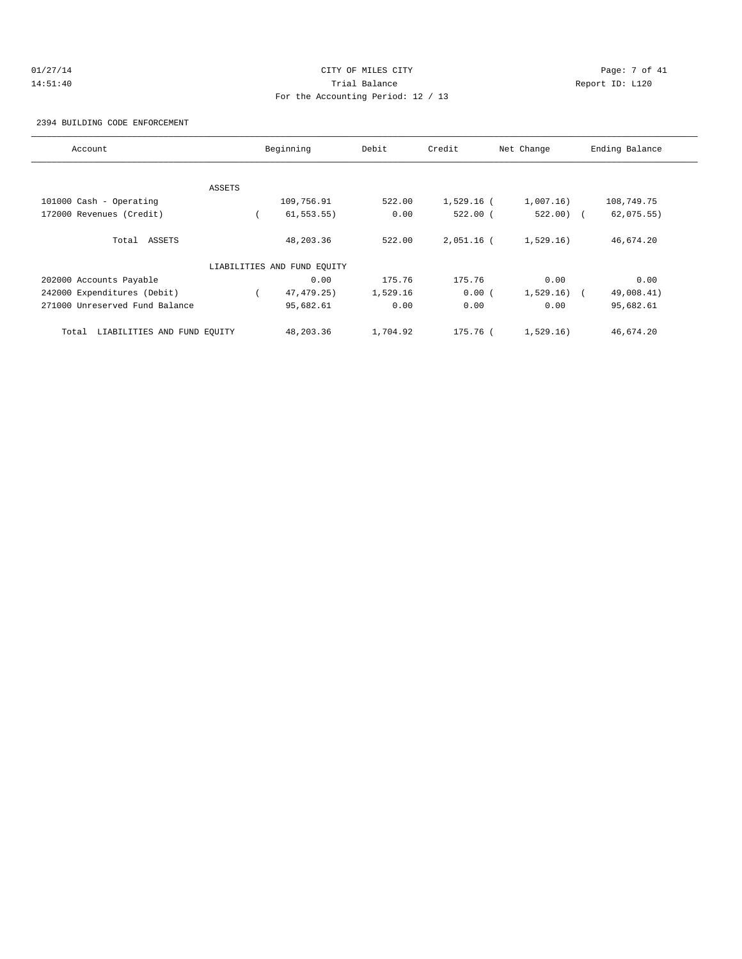# 01/27/14 Page: 7 of 41 14:51:40 Trial Balance Report ID: L120 For the Accounting Period: 12 / 13

#### 2394 BUILDING CODE ENFORCEMENT

| Account                              |        | Beginning                   | Debit    | Credit       | Net Change   | Ending Balance |
|--------------------------------------|--------|-----------------------------|----------|--------------|--------------|----------------|
|                                      |        |                             |          |              |              |                |
|                                      | ASSETS |                             |          |              |              |                |
| 101000 Cash - Operating              |        | 109,756.91                  | 522.00   | $1,529.16$ ( | 1,007.16)    | 108,749.75     |
| 172000 Revenues (Credit)             |        | $61, 553.55$ )              | 0.00     | $522.00$ (   | $522.00$ (   | 62,075.55)     |
| Total ASSETS                         |        | 48,203.36                   | 522.00   | $2,051.16$ ( | 1,529.16)    | 46,674.20      |
|                                      |        | LIABILITIES AND FUND EQUITY |          |              |              |                |
| 202000 Accounts Payable              |        | 0.00                        | 175.76   | 175.76       | 0.00         | 0.00           |
| 242000 Expenditures (Debit)          |        | 47, 479. 25)                | 1,529.16 | 0.00(        | $1,529.16$ ( | 49,008.41)     |
| 271000 Unreserved Fund Balance       |        | 95,682.61                   | 0.00     | 0.00         | 0.00         | 95,682.61      |
| LIABILITIES AND FUND EQUITY<br>Total |        | 48, 203. 36                 | 1,704.92 | 175.76 (     | 1,529.16)    | 46,674.20      |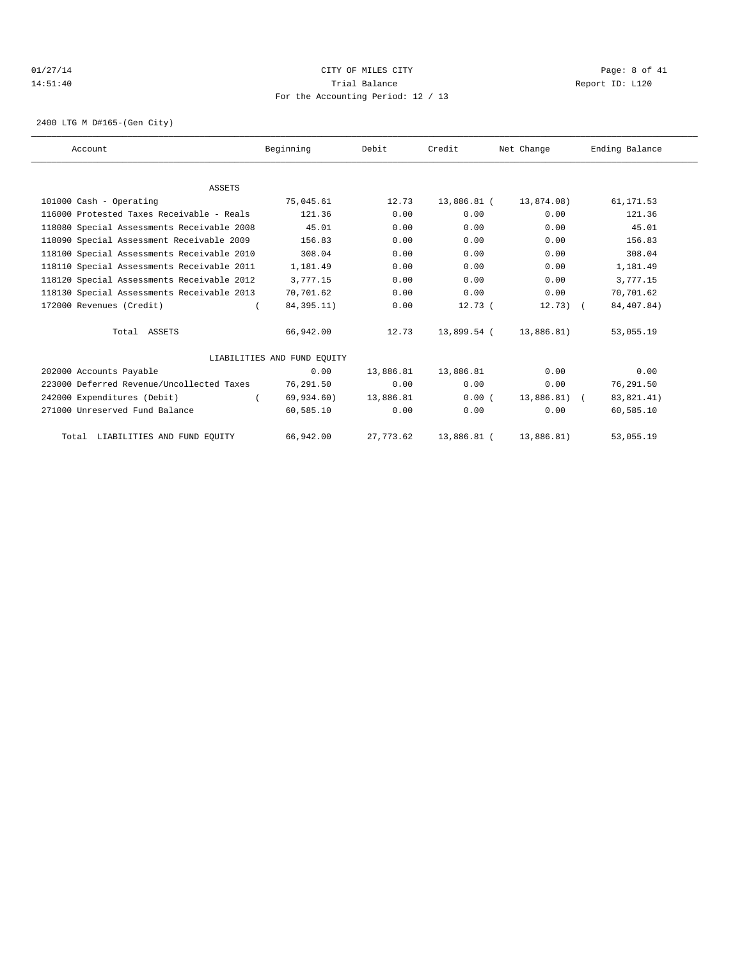#### 01/27/14 Page: 8 of 41 14:51:40 Trial Balance Report ID: L120 For the Accounting Period: 12 / 13

2400 LTG M D#165-(Gen City)

| Account                                    | Beginning                   | Debit     | Credit      | Net Change    | Ending Balance |
|--------------------------------------------|-----------------------------|-----------|-------------|---------------|----------------|
|                                            |                             |           |             |               |                |
| <b>ASSETS</b>                              |                             |           |             |               |                |
| 101000 Cash - Operating                    | 75,045.61                   | 12.73     | 13,886.81 ( | 13,874.08)    | 61,171.53      |
| 116000 Protested Taxes Receivable - Reals  | 121.36                      | 0.00      | 0.00        | 0.00          | 121.36         |
| 118080 Special Assessments Receivable 2008 | 45.01                       | 0.00      | 0.00        | 0.00          | 45.01          |
| 118090 Special Assessment Receivable 2009  | 156.83                      | 0.00      | 0.00        | 0.00          | 156.83         |
| 118100 Special Assessments Receivable 2010 | 308.04                      | 0.00      | 0.00        | 0.00          | 308.04         |
| 118110 Special Assessments Receivable 2011 | 1,181.49                    | 0.00      | 0.00        | 0.00          | 1,181.49       |
| 118120 Special Assessments Receivable 2012 | 3,777.15                    | 0.00      | 0.00        | 0.00          | 3,777.15       |
| 118130 Special Assessments Receivable 2013 | 70,701.62                   | 0.00      | 0.00        | 0.00          | 70,701.62      |
| 172000 Revenues (Credit)                   | 84, 395. 11)                | 0.00      | 12.73(      | $12.73$ ) (   | 84,407.84)     |
| Total ASSETS                               | 66,942.00                   | 12.73     | 13,899.54 ( | 13,886.81)    | 53,055.19      |
|                                            | LIABILITIES AND FUND EQUITY |           |             |               |                |
| 202000 Accounts Payable                    | 0.00                        | 13,886.81 | 13,886.81   | 0.00          | 0.00           |
| 223000 Deferred Revenue/Uncollected Taxes  | 76,291.50                   | 0.00      | 0.00        | 0.00          | 76,291.50      |
| 242000 Expenditures (Debit)                | 69,934.60)                  | 13,886.81 | 0.00(       | $13.886.81$ ( | 83,821.41)     |
| 271000 Unreserved Fund Balance             | 60,585.10                   | 0.00      | 0.00        | 0.00          | 60,585.10      |
| Total LIABILITIES AND FUND EQUITY          | 66,942.00                   | 27,773.62 | 13,886.81 ( | 13,886.81)    | 53,055.19      |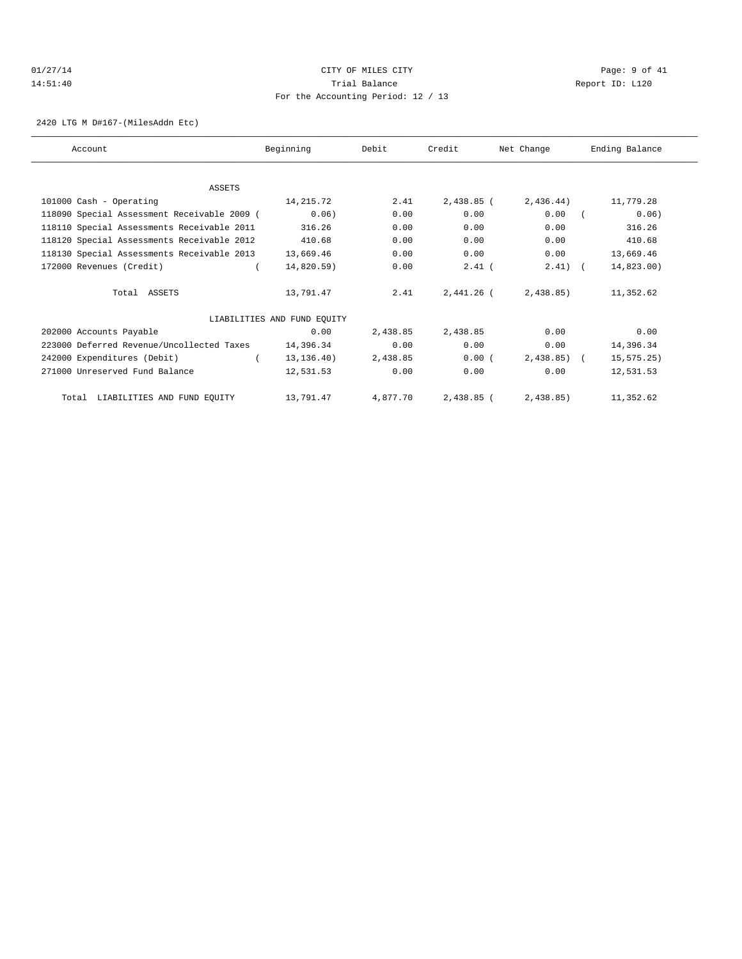# 01/27/14 Page: 9 of 41 14:51:40 Trial Balance Report ID: L120 For the Accounting Period: 12 / 13

2420 LTG M D#167-(MilesAddn Etc)

| Account                                     | Beginning                   | Debit    | Credit       | Net Change     | Ending Balance |
|---------------------------------------------|-----------------------------|----------|--------------|----------------|----------------|
|                                             |                             |          |              |                |                |
| <b>ASSETS</b>                               |                             |          |              |                |                |
| 101000 Cash - Operating                     | 14,215.72                   | 2.41     | 2,438.85 (   | 2,436.44)      | 11,779.28      |
| 118090 Special Assessment Receivable 2009 ( | 0.06)                       | 0.00     | 0.00         | 0.00           | 0.06)          |
| 118110 Special Assessments Receivable 2011  | 316.26                      | 0.00     | 0.00         | 0.00           | 316.26         |
| 118120 Special Assessments Receivable 2012  | 410.68                      | 0.00     | 0.00         | 0.00           | 410.68         |
| 118130 Special Assessments Receivable 2013  | 13,669.46                   | 0.00     | 0.00         | 0.00           | 13,669.46      |
| 172000 Revenues (Credit)                    | 14,820.59)                  | 0.00     | $2.41$ (     | $2.41$ ) (     | 14,823.00)     |
| Total ASSETS                                | 13,791.47                   | 2.41     | $2.441.26$ ( | 2,438.85       | 11,352.62      |
|                                             | LIABILITIES AND FUND EQUITY |          |              |                |                |
| 202000 Accounts Payable                     | 0.00                        | 2,438.85 | 2,438.85     | 0.00           | 0.00           |
| 223000 Deferred Revenue/Uncollected Taxes   | 14,396.34                   | 0.00     | 0.00         | 0.00           | 14,396.34      |
| 242000 Expenditures (Debit)                 | 13, 136. 40)                | 2,438.85 | 0.00(        | $2,438.85$ ) ( | 15, 575.25)    |
| 271000 Unreserved Fund Balance              | 12,531.53                   | 0.00     | 0.00         | 0.00           | 12,531.53      |
| Total LIABILITIES AND FUND EQUITY           | 13,791.47                   | 4,877.70 | 2,438.85 (   | 2,438.85)      | 11,352.62      |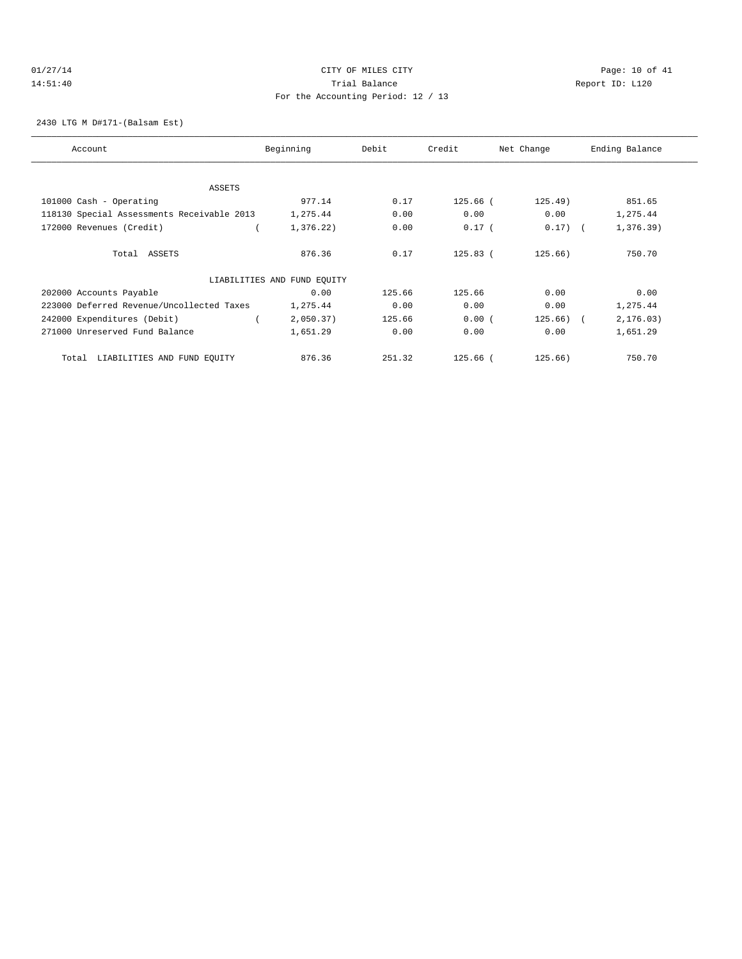# 01/27/14 Page: 10 of 41 14:51:40 Trial Balance Report ID: L120 For the Accounting Period: 12 / 13

2430 LTG M D#171-(Balsam Est)

| Account                                    | Beginning                   | Debit  | Credit       | Net Change   | Ending Balance |
|--------------------------------------------|-----------------------------|--------|--------------|--------------|----------------|
|                                            |                             |        |              |              |                |
| ASSETS                                     |                             |        |              |              |                |
| 101000 Cash - Operating                    | 977.14                      | 0.17   | $125.66$ (   | $125.49$ )   | 851.65         |
| 118130 Special Assessments Receivable 2013 | 1,275.44                    | 0.00   | 0.00         | 0.00         | 1,275.44       |
| 172000 Revenues (Credit)                   | 1,376.22)                   | 0.00   | $0.17$ (     | $0.17)$ (    | 1,376.39)      |
| Total ASSETS                               | 876.36                      | 0.17   | $125.83$ (   | 125.66)      | 750.70         |
|                                            | LIABILITIES AND FUND EQUITY |        |              |              |                |
| 202000 Accounts Payable                    | 0.00                        | 125.66 | 125.66       | 0.00         | 0.00           |
| 223000 Deferred Revenue/Uncollected Taxes  | 1,275.44                    | 0.00   | 0.00         | 0.00         | 1,275.44       |
| 242000 Expenditures (Debit)                | 2,050.37)                   | 125.66 | 0.00(        | $125.66$ ) ( | 2, 176.03)     |
| 271000 Unreserved Fund Balance             | 1,651.29                    | 0.00   | 0.00         | 0.00         | 1,651.29       |
| LIABILITIES AND FUND EQUITY<br>Total       | 876.36                      | 251.32 | $125.66$ $($ | 125.66)      | 750.70         |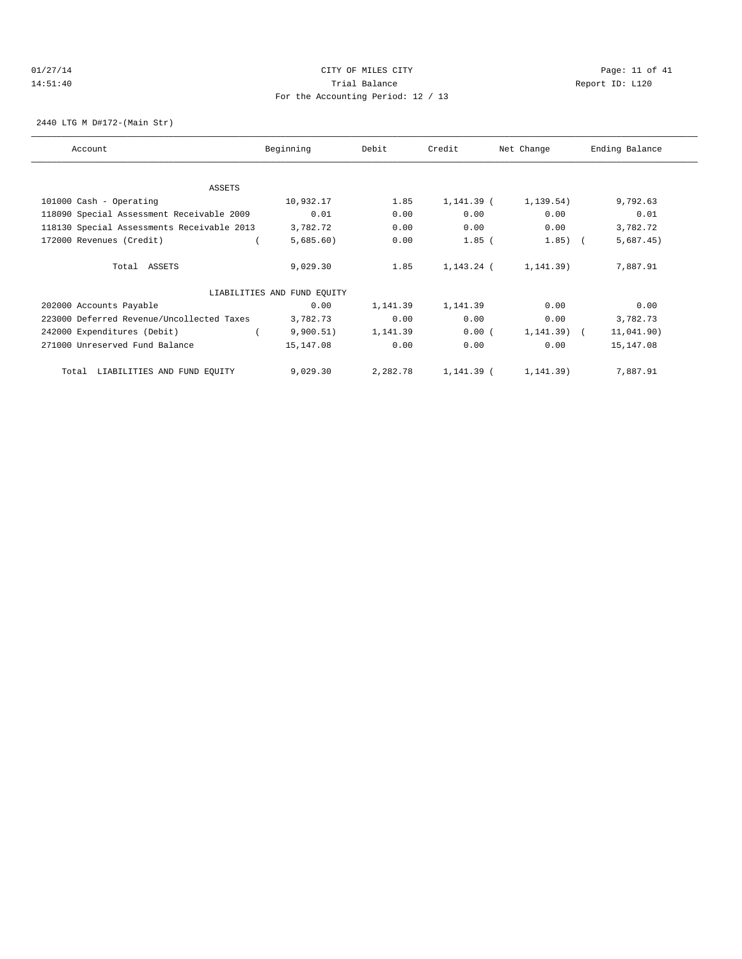# 01/27/14 Page: 11 of 41 14:51:40 Trial Balance Report ID: L120 For the Accounting Period: 12 / 13

2440 LTG M D#172-(Main Str)

| Account                                    | Beginning                   | Debit    | Credit     | Net Change | Ending Balance |
|--------------------------------------------|-----------------------------|----------|------------|------------|----------------|
|                                            |                             |          |            |            |                |
| ASSETS                                     |                             |          |            |            |                |
| 101000 Cash - Operating                    | 10,932.17                   | 1.85     | 1,141.39 ( | 1, 139.54) | 9,792.63       |
| 118090 Special Assessment Receivable 2009  | 0.01                        | 0.00     | 0.00       | 0.00       | 0.01           |
| 118130 Special Assessments Receivable 2013 | 3,782.72                    | 0.00     | 0.00       | 0.00       | 3,782.72       |
| 172000 Revenues (Credit)                   | 5,685.60)                   | 0.00     | $1.85$ (   | 1.85)      | 5,687.45)      |
| Total ASSETS                               | 9,029.30                    | 1.85     | 1,143.24 ( | 1, 141.39) | 7,887.91       |
|                                            | LIABILITIES AND FUND EQUITY |          |            |            |                |
| 202000 Accounts Payable                    | 0.00                        | 1,141.39 | 1,141.39   | 0.00       | 0.00           |
| 223000 Deferred Revenue/Uncollected Taxes  | 3,782.73                    | 0.00     | 0.00       | 0.00       | 3,782.73       |
| 242000 Expenditures (Debit)                | 9,900.51)                   | 1,141.39 | 0.00(      | 1, 141.39) | 11,041.90)     |
| 271000 Unreserved Fund Balance             | 15,147.08                   | 0.00     | 0.00       | 0.00       | 15,147.08      |
| LIABILITIES AND FUND EQUITY<br>Total       | 9,029.30                    | 2,282.78 | 1,141.39 ( | 1,141.39)  | 7,887.91       |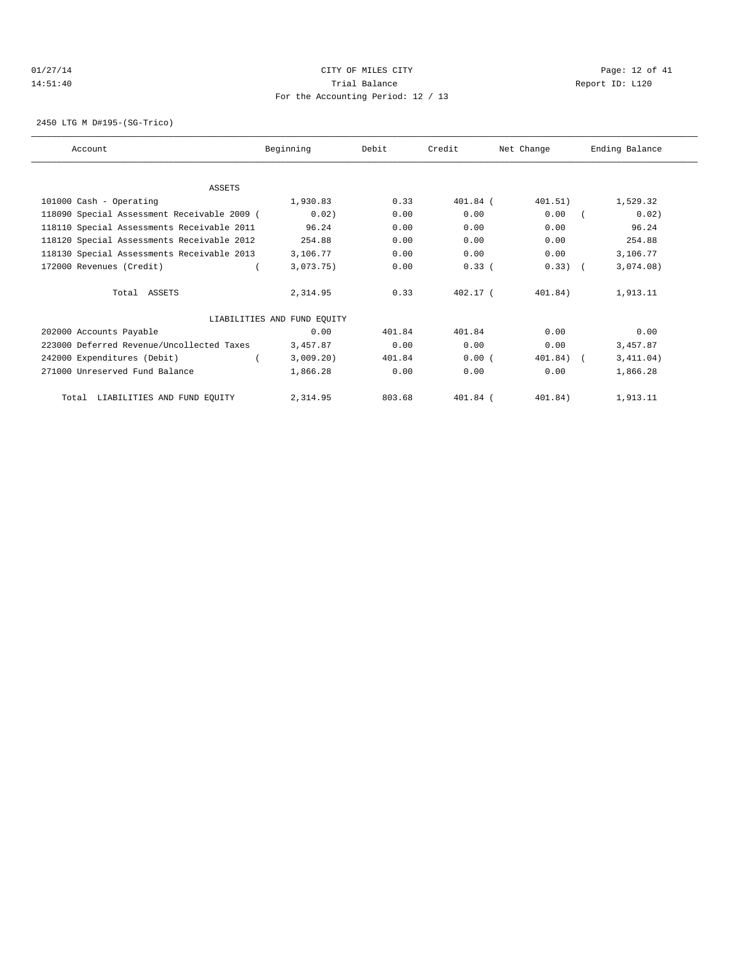#### $CITY$   $CITY$   $CITY$   $PAGE: 12 of 41$ 14:51:40 Trial Balance Report ID: L120 For the Accounting Period: 12 / 13

2450 LTG M D#195-(SG-Trico)

| Account                                     | Beginning                   | Debit  | Credit     | Net Change | Ending Balance |
|---------------------------------------------|-----------------------------|--------|------------|------------|----------------|
|                                             |                             |        |            |            |                |
| <b>ASSETS</b>                               |                             |        |            |            |                |
| 101000 Cash - Operating                     | 1,930.83                    | 0.33   | 401.84 (   | 401.51)    | 1,529.32       |
| 118090 Special Assessment Receivable 2009 ( | 0.02)                       | 0.00   | 0.00       | 0.00       | 0.02)          |
| 118110 Special Assessments Receivable 2011  | 96.24                       | 0.00   | 0.00       | 0.00       | 96.24          |
| 118120 Special Assessments Receivable 2012  | 254.88                      | 0.00   | 0.00       | 0.00       | 254.88         |
| 118130 Special Assessments Receivable 2013  | 3,106.77                    | 0.00   | 0.00       | 0.00       | 3,106.77       |
| 172000 Revenues (Credit)                    | 3,073.75)                   | 0.00   | 0.33(      | $0.33)$ (  | 3,074.08)      |
| Total ASSETS                                | 2,314.95                    | 0.33   | $402.17$ ( | 401.84)    | 1,913.11       |
|                                             | LIABILITIES AND FUND EQUITY |        |            |            |                |
| 202000 Accounts Payable                     | 0.00                        | 401.84 | 401.84     | 0.00       | 0.00           |
| 223000 Deferred Revenue/Uncollected Taxes   | 3,457.87                    | 0.00   | 0.00       | 0.00       | 3,457.87       |
| 242000 Expenditures (Debit)                 | 3,009.20)                   | 401.84 | 0.00(      | 401.84)    | 3,411.04)      |
| 271000 Unreserved Fund Balance              | 1,866.28                    | 0.00   | 0.00       | 0.00       | 1,866.28       |
| Total LIABILITIES AND FUND EQUITY           | 2,314.95                    | 803.68 | 401.84 (   | 401.84)    | 1,913.11       |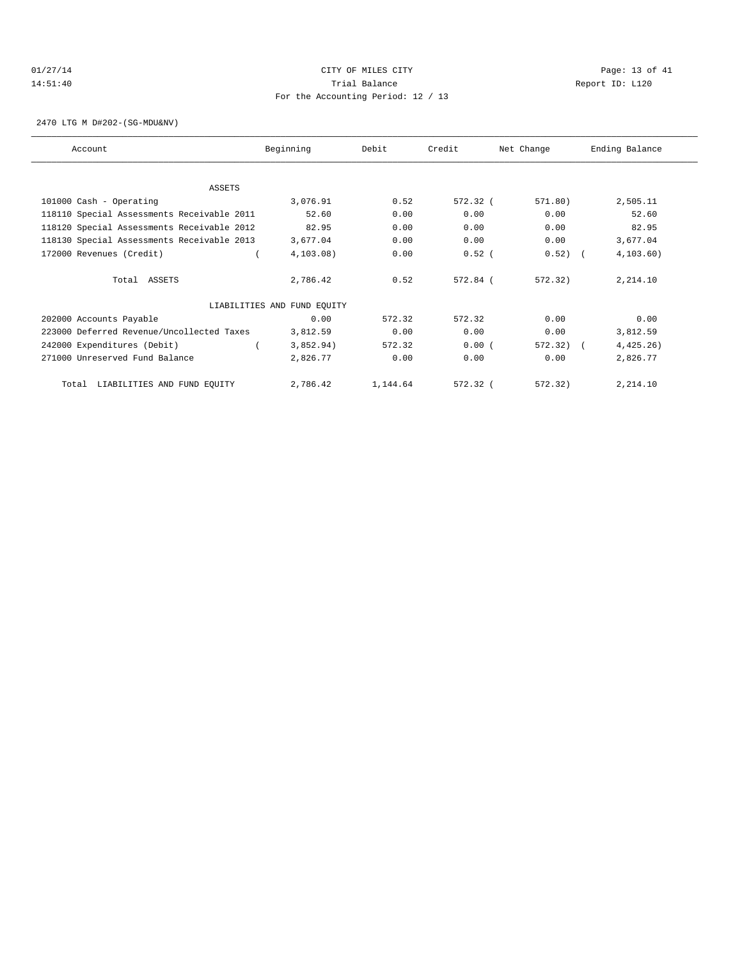# 01/27/14 Page: 13 of 41 14:51:40 Trial Balance Report ID: L120 For the Accounting Period: 12 / 13

2470 LTG M D#202-(SG-MDU&NV)

| Account                                    | Beginning                   | Debit    | Credit   | Net Change | Ending Balance |  |
|--------------------------------------------|-----------------------------|----------|----------|------------|----------------|--|
|                                            |                             |          |          |            |                |  |
| <b>ASSETS</b>                              |                             |          |          |            |                |  |
| 101000 Cash - Operating                    | 3,076.91                    | 0.52     | 572.32 ( | 571.80)    | 2,505.11       |  |
| 118110 Special Assessments Receivable 2011 | 52.60                       | 0.00     | 0.00     | 0.00       | 52.60          |  |
| 118120 Special Assessments Receivable 2012 | 82.95                       | 0.00     | 0.00     | 0.00       | 82.95          |  |
| 118130 Special Assessments Receivable 2013 | 3,677.04                    | 0.00     | 0.00     | 0.00       | 3,677.04       |  |
| 172000 Revenues (Credit)                   | 4, 103.08)                  | 0.00     | $0.52$ ( | $0.52)$ (  | 4, 103.60)     |  |
| Total ASSETS                               | 2,786.42                    | 0.52     | 572.84 ( | 572.32)    | 2,214.10       |  |
|                                            | LIABILITIES AND FUND EQUITY |          |          |            |                |  |
| 202000 Accounts Payable                    | 0.00                        | 572.32   | 572.32   | 0.00       | 0.00           |  |
| 223000 Deferred Revenue/Uncollected Taxes  | 3,812.59                    | 0.00     | 0.00     | 0.00       | 3,812.59       |  |
| 242000 Expenditures (Debit)                | 3,852.94)                   | 572.32   | 0.00(    | 572.32)    | 4,425.26)      |  |
| 271000 Unreserved Fund Balance             | 2,826.77                    | 0.00     | 0.00     | 0.00       | 2,826.77       |  |
| LIABILITIES AND FUND EQUITY<br>Total       | 2,786.42                    | 1,144.64 | 572.32 ( | 572.32)    | 2,214.10       |  |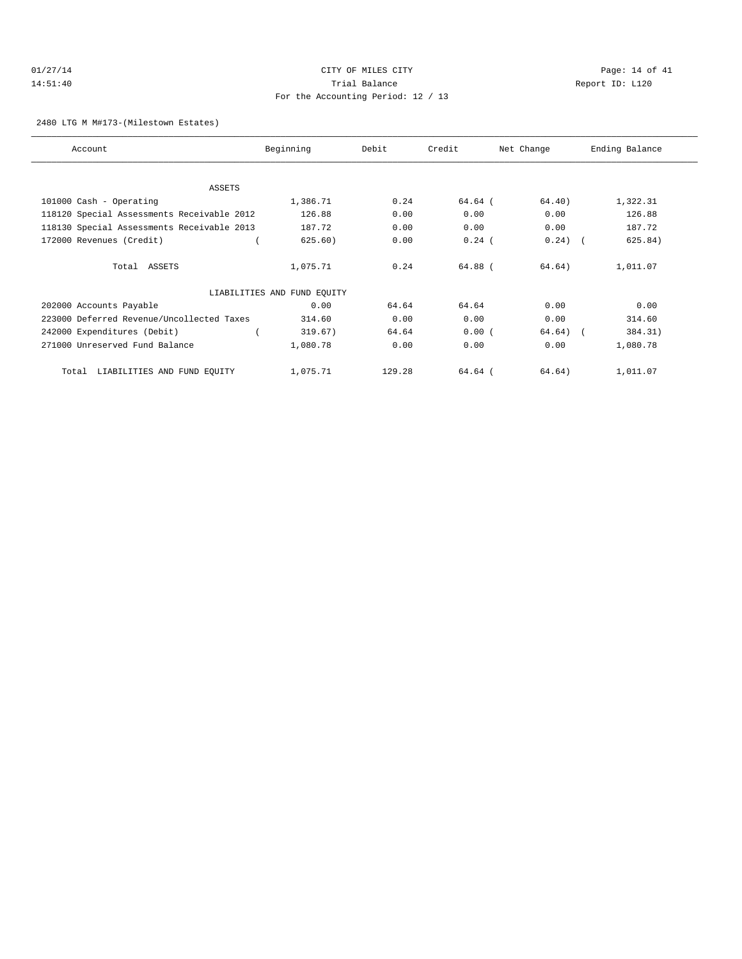# 01/27/14 Page: 14 of 41 14:51:40 Trial Balance Report ID: L120 For the Accounting Period: 12 / 13

#### 2480 LTG M M#173-(Milestown Estates)

| Account                                    | Beginning                   | Debit  | Credit   | Net Change | Ending Balance |
|--------------------------------------------|-----------------------------|--------|----------|------------|----------------|
|                                            |                             |        |          |            |                |
| ASSETS                                     |                             |        |          |            |                |
| 101000 Cash - Operating                    | 1,386.71                    | 0.24   | 64.64 (  | 64.40)     | 1,322.31       |
| 118120 Special Assessments Receivable 2012 | 126.88                      | 0.00   | 0.00     | 0.00       | 126.88         |
| 118130 Special Assessments Receivable 2013 | 187.72                      | 0.00   | 0.00     | 0.00       | 187.72         |
| 172000 Revenues (Credit)                   | 625.60)                     | 0.00   | $0.24$ ( | $0.24)$ (  | 625.84)        |
| Total ASSETS                               | 1,075.71                    | 0.24   | 64.88 (  | 64.64)     | 1,011.07       |
|                                            | LIABILITIES AND FUND EQUITY |        |          |            |                |
| 202000 Accounts Payable                    | 0.00                        | 64.64  | 64.64    | 0.00       | 0.00           |
| 223000 Deferred Revenue/Uncollected Taxes  | 314.60                      | 0.00   | 0.00     | 0.00       | 314.60         |
| 242000 Expenditures (Debit)                | 319.67)                     | 64.64  | 0.00(    | $64.64)$ ( | 384.31)        |
| 271000 Unreserved Fund Balance             | 1,080.78                    | 0.00   | 0.00     | 0.00       | 1,080.78       |
| Total LIABILITIES AND FUND EQUITY          | 1,075.71                    | 129.28 | 64.64 (  | 64.64)     | 1,011.07       |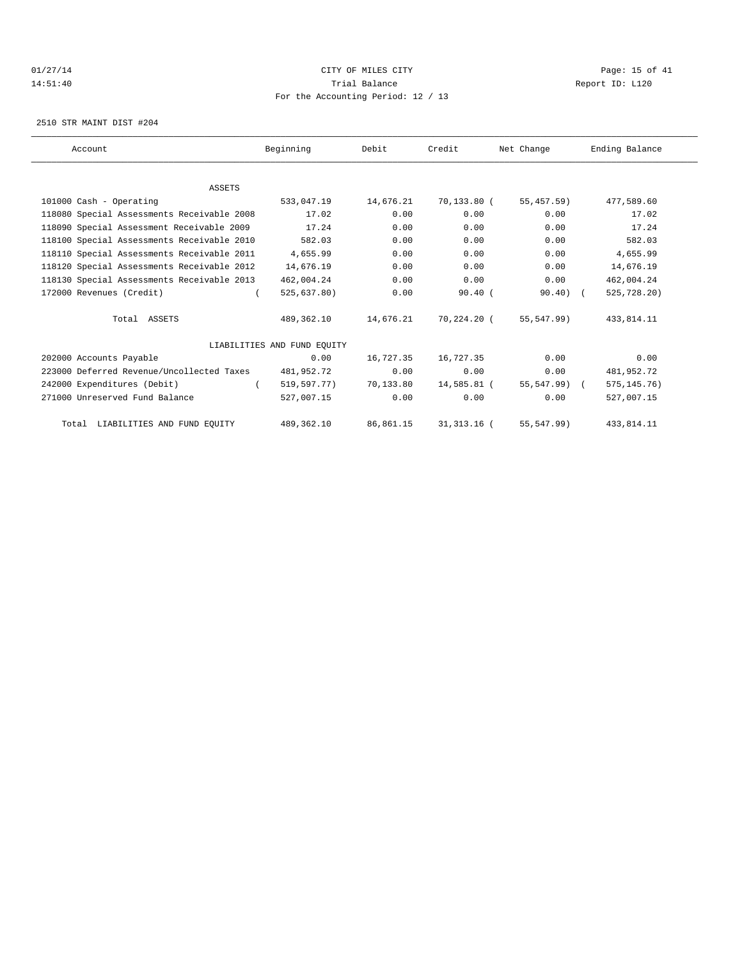#### $CITY$   $CITY$   $CITY$   $PAGE: 15$  of 41 14:51:40 Trial Balance Report ID: L120 For the Accounting Period: 12 / 13

2510 STR MAINT DIST #204

| Account                                    | Beginning                   | Debit     | Credit        | Net Change   | Ending Balance |  |
|--------------------------------------------|-----------------------------|-----------|---------------|--------------|----------------|--|
|                                            |                             |           |               |              |                |  |
| <b>ASSETS</b>                              |                             |           |               |              |                |  |
| 101000 Cash - Operating                    | 533,047.19                  | 14,676.21 | 70,133.80 (   | 55,457.59)   | 477,589.60     |  |
| 118080 Special Assessments Receivable 2008 | 17.02                       | 0.00      | 0.00          | 0.00         | 17.02          |  |
| 118090 Special Assessment Receivable 2009  | 17.24                       | 0.00      | 0.00          | 0.00         | 17.24          |  |
| 118100 Special Assessments Receivable 2010 | 582.03                      | 0.00      | 0.00          | 0.00         | 582.03         |  |
| 118110 Special Assessments Receivable 2011 | 4,655.99                    | 0.00      | 0.00          | 0.00         | 4,655.99       |  |
| 118120 Special Assessments Receivable 2012 | 14,676.19                   | 0.00      | 0.00          | 0.00         | 14,676.19      |  |
| 118130 Special Assessments Receivable 2013 | 462,004.24                  | 0.00      | 0.00          | 0.00         | 462,004.24     |  |
| 172000 Revenues (Credit)                   | 525,637.80)                 | 0.00      | $90.40$ (     | $90.40$ (    | 525,728.20)    |  |
| Total ASSETS                               | 489,362.10                  | 14,676.21 | 70,224.20 (   | 55,547.99)   | 433,814.11     |  |
|                                            | LIABILITIES AND FUND EOUITY |           |               |              |                |  |
| 202000 Accounts Payable                    | 0.00                        | 16,727.35 | 16,727.35     | 0.00         | 0.00           |  |
| 223000 Deferred Revenue/Uncollected Taxes  | 481,952.72                  | 0.00      | 0.00          | 0.00         | 481,952.72     |  |
| 242000 Expenditures (Debit)                | 519,597.77)                 | 70,133.80 | 14,585.81 (   | 55,547.99) ( | 575, 145.76)   |  |
| 271000 Unreserved Fund Balance             | 527,007.15                  | 0.00      | 0.00          | 0.00         | 527,007.15     |  |
| Total LIABILITIES AND FUND EQUITY          | 489,362.10                  | 86,861.15 | 31, 313. 16 ( | 55, 547.99)  | 433, 814. 11   |  |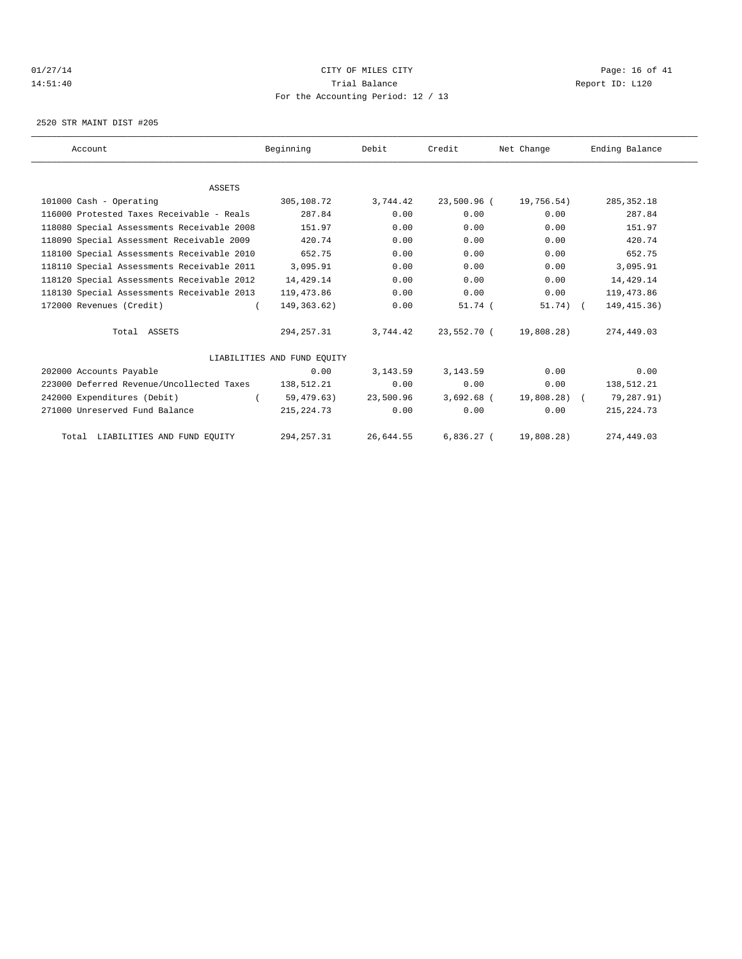# $CITY$   $CITY$   $CITY$   $PAGE: 16$  of 41 14:51:40 Trial Balance Report ID: L120 For the Accounting Period: 12 / 13

2520 STR MAINT DIST #205

| Account                                    | Beginning                   | Debit     | Credit       | Net Change   | Ending Balance |
|--------------------------------------------|-----------------------------|-----------|--------------|--------------|----------------|
|                                            |                             |           |              |              |                |
| <b>ASSETS</b>                              |                             |           |              |              |                |
| 101000 Cash - Operating                    | 305,108.72                  | 3,744.42  | 23,500.96 (  | 19,756.54)   | 285, 352.18    |
| 116000 Protested Taxes Receivable - Reals  | 287.84                      | 0.00      | 0.00         | 0.00         | 287.84         |
| 118080 Special Assessments Receivable 2008 | 151.97                      | 0.00      | 0.00         | 0.00         | 151.97         |
| 118090 Special Assessment Receivable 2009  | 420.74                      | 0.00      | 0.00         | 0.00         | 420.74         |
| 118100 Special Assessments Receivable 2010 | 652.75                      | 0.00      | 0.00         | 0.00         | 652.75         |
| 118110 Special Assessments Receivable 2011 | 3,095.91                    | 0.00      | 0.00         | 0.00         | 3,095.91       |
| 118120 Special Assessments Receivable 2012 | 14,429.14                   | 0.00      | 0.00         | 0.00         | 14,429.14      |
| 118130 Special Assessments Receivable 2013 | 119,473.86                  | 0.00      | 0.00         | 0.00         | 119,473.86     |
| 172000 Revenues (Credit)                   | 149, 363. 62)               | 0.00      | $51.74$ (    | $51.74)$ (   | 149, 415.36)   |
| Total ASSETS                               | 294, 257.31                 | 3,744.42  | 23,552.70 (  | 19,808.28)   | 274,449.03     |
|                                            | LIABILITIES AND FUND EQUITY |           |              |              |                |
| 202000 Accounts Payable                    | 0.00                        | 3, 143.59 | 3, 143.59    | 0.00         | 0.00           |
| 223000 Deferred Revenue/Uncollected Taxes  | 138,512.21                  | 0.00      | 0.00         | 0.00         | 138,512.21     |
| 242000 Expenditures (Debit)                | 59,479.63)                  | 23,500.96 | $3.692.68$ ( | 19,808.28) ( | 79,287.91)     |
| 271000 Unreserved Fund Balance             | 215, 224.73                 | 0.00      | 0.00         | 0.00         | 215, 224.73    |
| Total LIABILITIES AND FUND EQUITY          | 294, 257.31                 | 26,644.55 | $6,836.27$ ( | 19,808.28)   | 274,449.03     |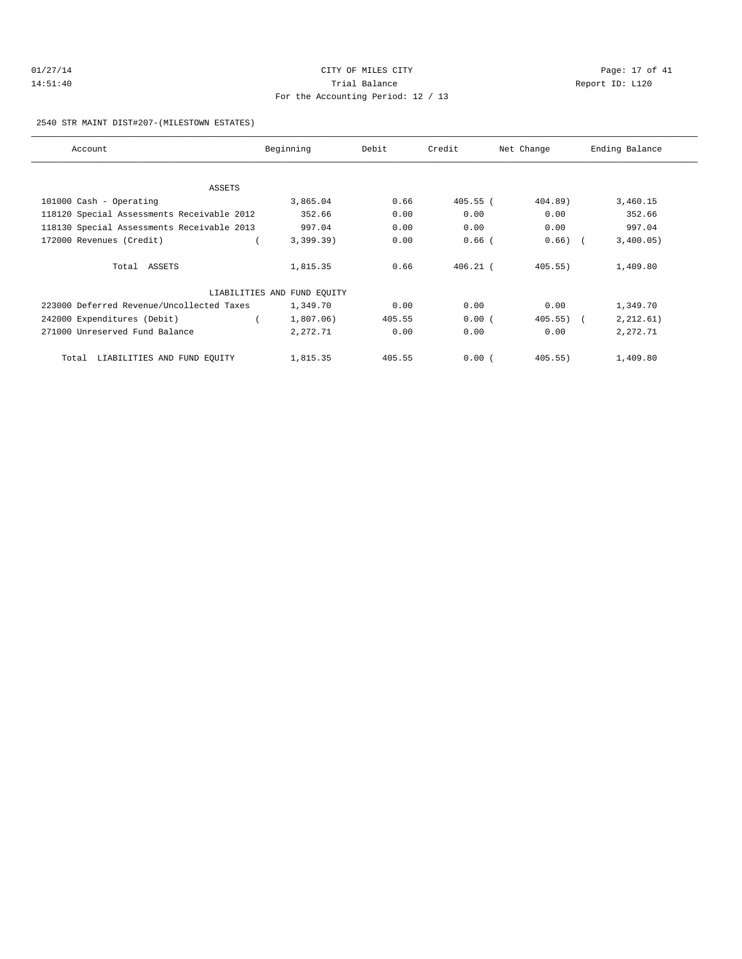# 01/27/14 Page: 17 of 41 14:51:40 Trial Balance Report ID: L120 For the Accounting Period: 12 / 13

#### 2540 STR MAINT DIST#207-(MILESTOWN ESTATES)

| Account                                    | Beginning                   | Debit  | Credit     | Net Change   | Ending Balance |
|--------------------------------------------|-----------------------------|--------|------------|--------------|----------------|
|                                            |                             |        |            |              |                |
| ASSETS                                     |                             |        |            |              |                |
| 101000 Cash - Operating                    | 3,865.04                    | 0.66   | $405.55$ ( | $404.89$ )   | 3,460.15       |
| 118120 Special Assessments Receivable 2012 | 352.66                      | 0.00   | 0.00       | 0.00         | 352.66         |
| 118130 Special Assessments Receivable 2013 | 997.04                      | 0.00   | 0.00       | 0.00         | 997.04         |
| 172000 Revenues (Credit)                   | 3,399.39)                   | 0.00   | $0.66$ $($ | $0.66$ ) $($ | 3,400.05)      |
|                                            |                             |        |            |              |                |
| Total ASSETS                               | 1,815.35                    | 0.66   | $406.21$ ( | 405.55)      | 1,409.80       |
|                                            |                             |        |            |              |                |
|                                            | LIABILITIES AND FUND EQUITY |        |            |              |                |
| 223000 Deferred Revenue/Uncollected Taxes  | 1,349.70                    | 0.00   | 0.00       | 0.00         | 1,349.70       |
| 242000 Expenditures (Debit)                | 1,807.06)                   | 405.55 | 0.00(      | $405.55$ ) ( | 2, 212.61)     |
| 271000 Unreserved Fund Balance             | 2,272.71                    | 0.00   | 0.00       | 0.00         | 2,272.71       |
|                                            |                             |        |            |              |                |
| LIABILITIES AND FUND EQUITY<br>Total       | 1,815.35                    | 405.55 | 0.00(      | $405.55$ )   | 1,409.80       |
|                                            |                             |        |            |              |                |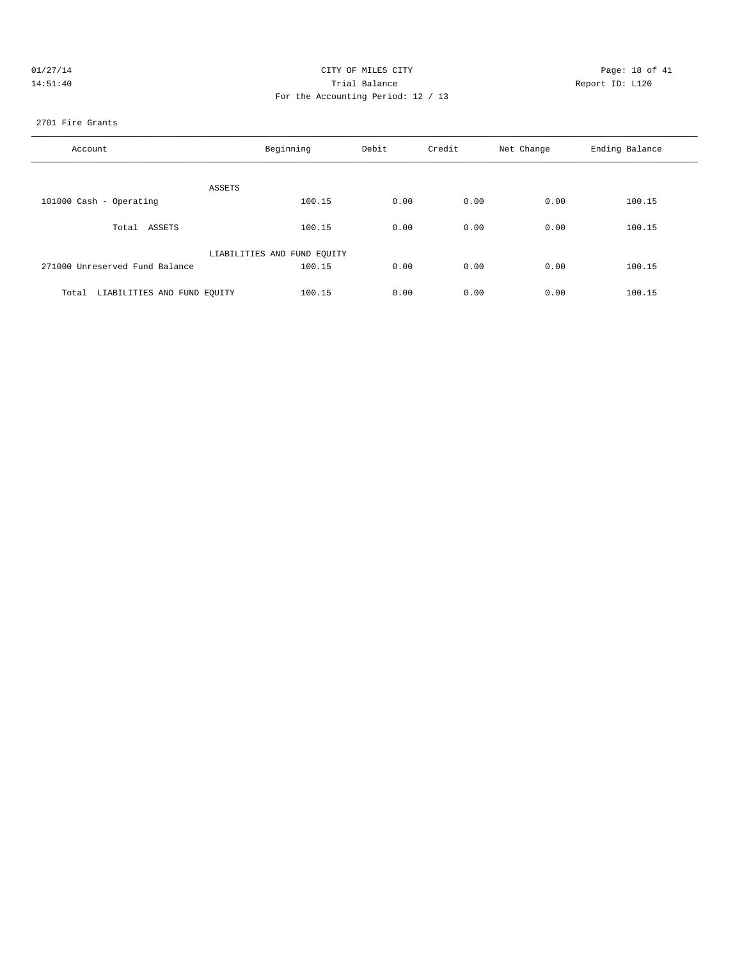| 01/27/14 | CITY OF MILES CITY                 | Page: 18 of 41  |
|----------|------------------------------------|-----------------|
| 14:51:40 | Trial Balance                      | Report ID: L120 |
|          | Ban the Bestimated Banded, 10 / 10 |                 |

# For the Accounting Period: 12 / 13

#### 2701 Fire Grants

| Account                              | Beginning                   | Debit | Credit | Net Change | Ending Balance |
|--------------------------------------|-----------------------------|-------|--------|------------|----------------|
| ASSETS                               |                             |       |        |            |                |
| 101000 Cash - Operating              | 100.15                      | 0.00  | 0.00   | 0.00       | 100.15         |
| Total ASSETS                         | 100.15                      | 0.00  | 0.00   | 0.00       | 100.15         |
|                                      | LIABILITIES AND FUND EQUITY |       |        |            |                |
| 271000 Unreserved Fund Balance       | 100.15                      | 0.00  | 0.00   | 0.00       | 100.15         |
| LIABILITIES AND FUND EQUITY<br>Total | 100.15                      | 0.00  | 0.00   | 0.00       | 100.15         |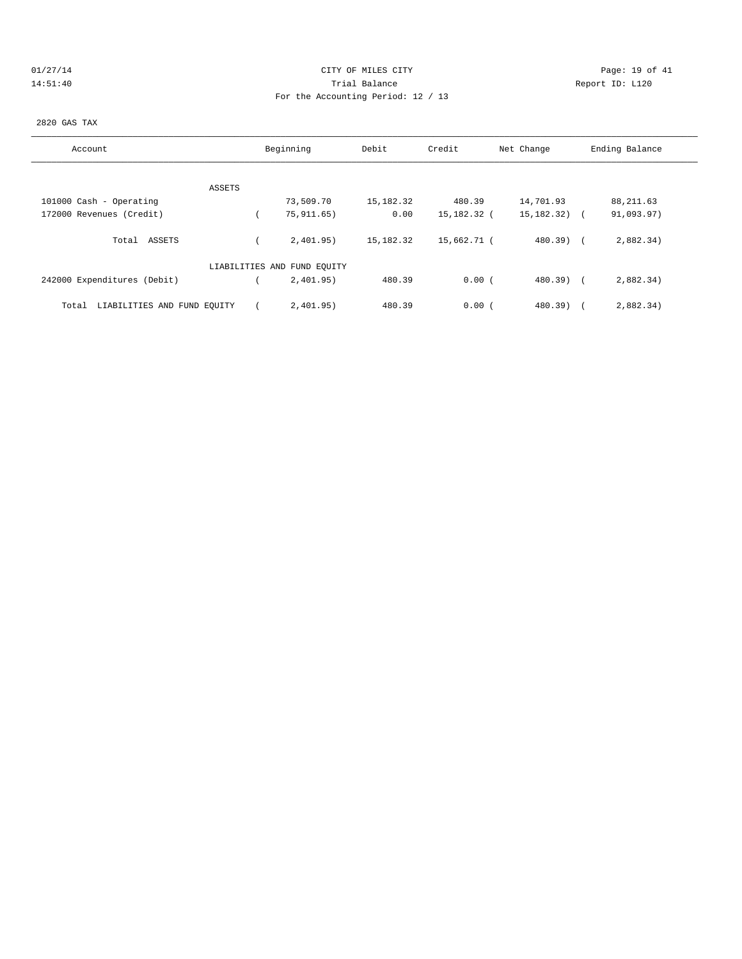# 01/27/14 Page: 19 of 41 14:51:40 Trial Balance Report ID: L120 For the Accounting Period: 12 / 13

#### 2820 GAS TAX

| Account                              | Beginning                   | Debit       | Credit      | Net Change       | Ending Balance |
|--------------------------------------|-----------------------------|-------------|-------------|------------------|----------------|
|                                      |                             |             |             |                  |                |
| ASSETS                               |                             |             |             |                  |                |
| 101000 Cash - Operating              | 73,509.70                   | 15,182.32   | 480.39      | 14,701.93        | 88, 211.63     |
| 172000 Revenues (Credit)             | 75, 911, 65)                | 0.00        | 15,182.32 ( | $15, 182, 32)$ ( | 91,093.97)     |
| Total ASSETS                         | 2.401.95)                   | 15, 182. 32 | 15,662.71 ( | 480.39) (        | 2,882.34)      |
|                                      | LIABILITIES AND FUND EQUITY |             |             |                  |                |
| 242000 Expenditures (Debit)          | 2,401.95)                   | 480.39      | 0.00(       | $480.39$ $($     | 2,882.34)      |
| LIABILITIES AND FUND EQUITY<br>Total | 2,401.95)                   | 480.39      | 0.00(       | $480.39$ )       | 2,882.34)      |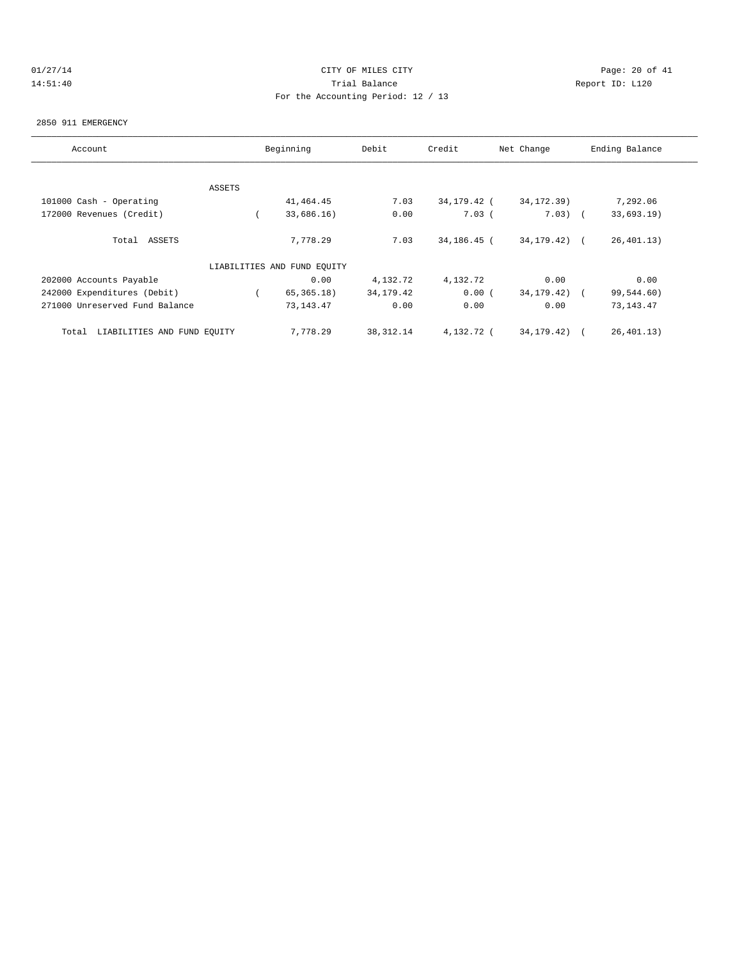# $CITY$  of  $CITY$  and  $CITY$  of  $A1$  and  $CITY$  and  $CITY$  and  $PQ = 20$  of  $41$ 14:51:40 Trial Balance Report ID: L120 For the Accounting Period: 12 / 13

#### 2850 911 EMERGENCY

| Account                              |        | Beginning                   | Debit      | Credit      | Net Change       | Ending Balance |
|--------------------------------------|--------|-----------------------------|------------|-------------|------------------|----------------|
|                                      |        |                             |            |             |                  |                |
|                                      | ASSETS |                             |            |             |                  |                |
| 101000 Cash - Operating              |        | 41, 464. 45                 | 7.03       | 34,179.42 ( | 34, 172. 39)     | 7,292.06       |
| 172000 Revenues (Credit)             |        | 33,686.16)                  | 0.00       | $7.03$ (    | $7.03)$ (        | 33,693.19)     |
| Total ASSETS                         |        | 7,778.29                    | 7.03       | 34,186.45 ( | $34, 179.42$ ) ( | 26, 401.13)    |
|                                      |        | LIABILITIES AND FUND EQUITY |            |             |                  |                |
| 202000 Accounts Payable              |        | 0.00                        | 4,132.72   | 4,132.72    | 0.00             | 0.00           |
| 242000 Expenditures (Debit)          |        | 65, 365.18)                 | 34,179.42  | 0.00(       | 34, 179. 42)     | 99,544.60)     |
| 271000 Unreserved Fund Balance       |        | 73, 143. 47                 | 0.00       | 0.00        | 0.00             | 73, 143. 47    |
| LIABILITIES AND FUND EQUITY<br>Total |        | 7,778.29                    | 38, 312.14 | 4,132.72 (  | 34, 179. 42)     | 26,401.13)     |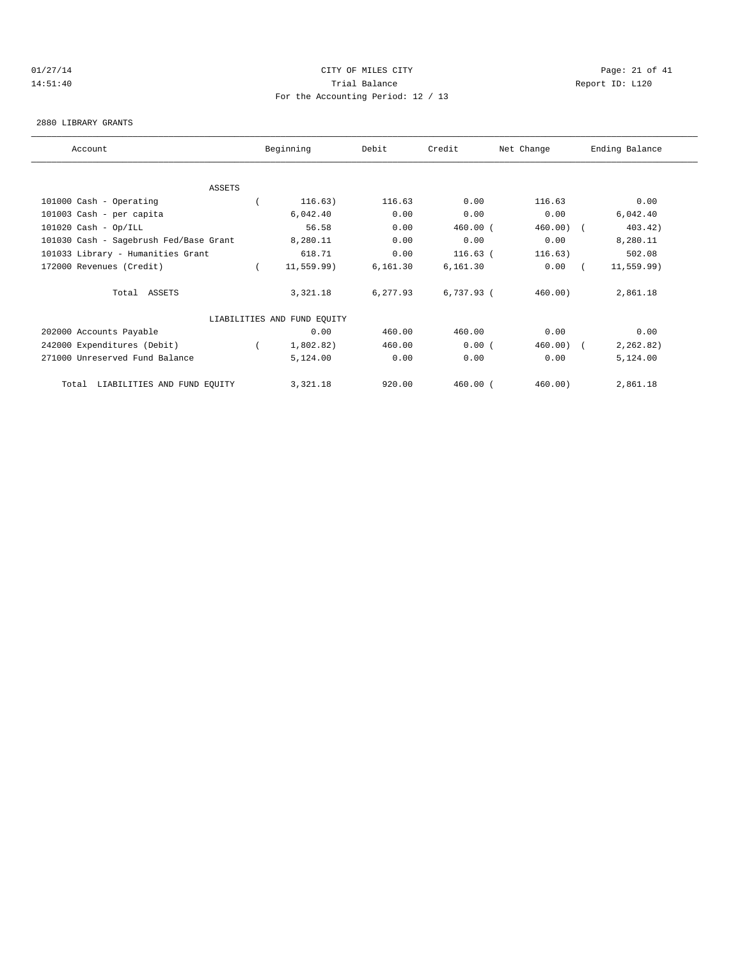# 01/27/14 Page: 21 of 41 14:51:40 Trial Balance Report ID: L120 For the Accounting Period: 12 / 13

#### 2880 LIBRARY GRANTS

| Account                                | Beginning                   | Debit    | Credit       | Net Change  | Ending Balance |  |
|----------------------------------------|-----------------------------|----------|--------------|-------------|----------------|--|
|                                        |                             |          |              |             |                |  |
| ASSETS                                 |                             |          |              |             |                |  |
| 101000 Cash - Operating                | 116.63)                     | 116.63   | 0.00         | 116.63      | 0.00           |  |
| 101003 Cash - per capita               | 6,042.40                    | 0.00     | 0.00         | 0.00        | 6,042.40       |  |
| $101020$ Cash - Op/ILL                 | 56.58                       | 0.00     | $460.00$ (   | $460.00)$ ( | 403.42)        |  |
| 101030 Cash - Sagebrush Fed/Base Grant | 8,280.11                    | 0.00     | 0.00         | 0.00        | 8,280.11       |  |
| 101033 Library - Humanities Grant      | 618.71                      | 0.00     | $116.63$ (   | 116.63)     | 502.08         |  |
| 172000 Revenues (Credit)               | 11, 559.99)                 | 6,161.30 | 6,161.30     | 0.00        | 11, 559.99)    |  |
| Total ASSETS                           | 3,321.18                    | 6,277.93 | $6,737.93$ ( | 460.00)     | 2,861.18       |  |
|                                        | LIABILITIES AND FUND EQUITY |          |              |             |                |  |
| 202000 Accounts Payable                | 0.00                        | 460.00   | 460.00       | 0.00        | 0.00           |  |
| 242000 Expenditures (Debit)            | 1,802.82)                   | 460.00   | 0.00(        | 460.00)     | 2, 262.82)     |  |
| 271000 Unreserved Fund Balance         | 5,124.00                    | 0.00     | 0.00         | 0.00        | 5,124.00       |  |
| LIABILITIES AND FUND EQUITY<br>Total   | 3,321.18                    | 920.00   | $460.00$ (   | 460.00)     | 2,861.18       |  |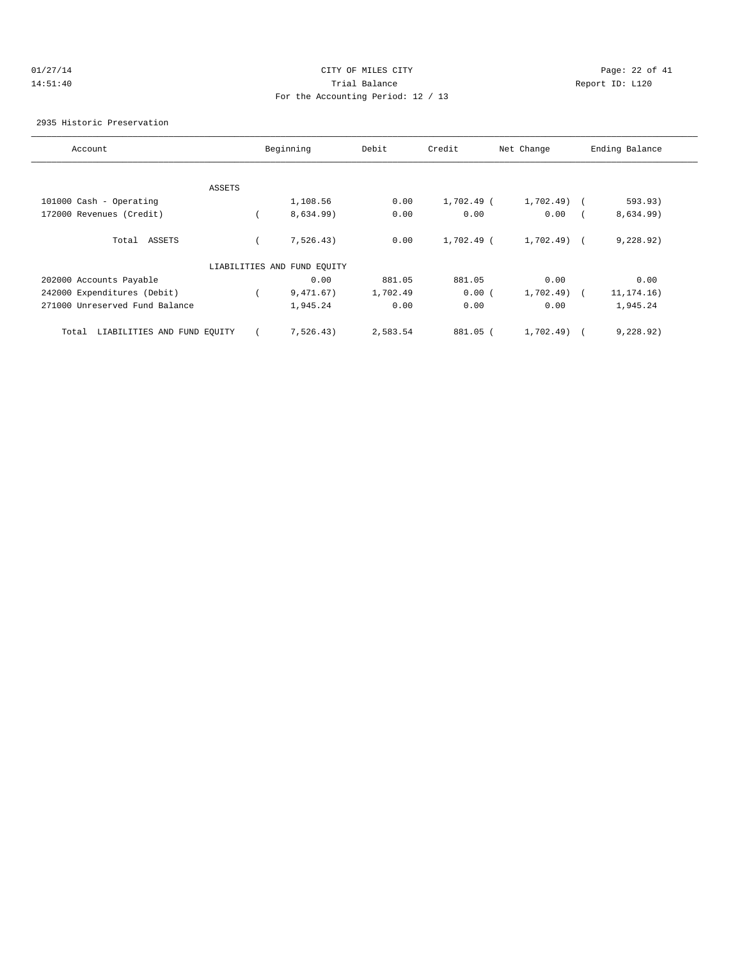#### $CITY$   $CITY$   $CITY$   $PAGE: 22 of 41$ 14:51:40 Trial Balance Report ID: L120 For the Accounting Period: 12 / 13

2935 Historic Preservation

| Account                              | Beginning                   | Debit    | Credit     | Net Change   | Ending Balance |  |
|--------------------------------------|-----------------------------|----------|------------|--------------|----------------|--|
|                                      |                             |          |            |              |                |  |
| ASSETS                               |                             |          |            |              |                |  |
| 101000 Cash - Operating              | 1,108.56                    | 0.00     | 1,702.49 ( | $1,702.49$ ( | 593.93)        |  |
| 172000 Revenues (Credit)             | 8,634.99)                   | 0.00     | 0.00       | 0.00         | 8,634.99)      |  |
| Total ASSETS                         | 7,526.43)                   | 0.00     | 1,702.49 ( | $1,702.49$ ( | 9,228.92)      |  |
|                                      | LIABILITIES AND FUND EQUITY |          |            |              |                |  |
| 202000 Accounts Payable              | 0.00                        | 881.05   | 881.05     | 0.00         | 0.00           |  |
| 242000 Expenditures (Debit)          | 9,471.67)                   | 1,702.49 | 0.00(      | 1,702.49)    | 11, 174. 16)   |  |
| 271000 Unreserved Fund Balance       | 1,945.24                    | 0.00     | 0.00       | 0.00         | 1,945.24       |  |
| LIABILITIES AND FUND EQUITY<br>Total | 7,526.43)                   | 2,583.54 | 881.05 (   | 1,702.49)    | 9, 228.92)     |  |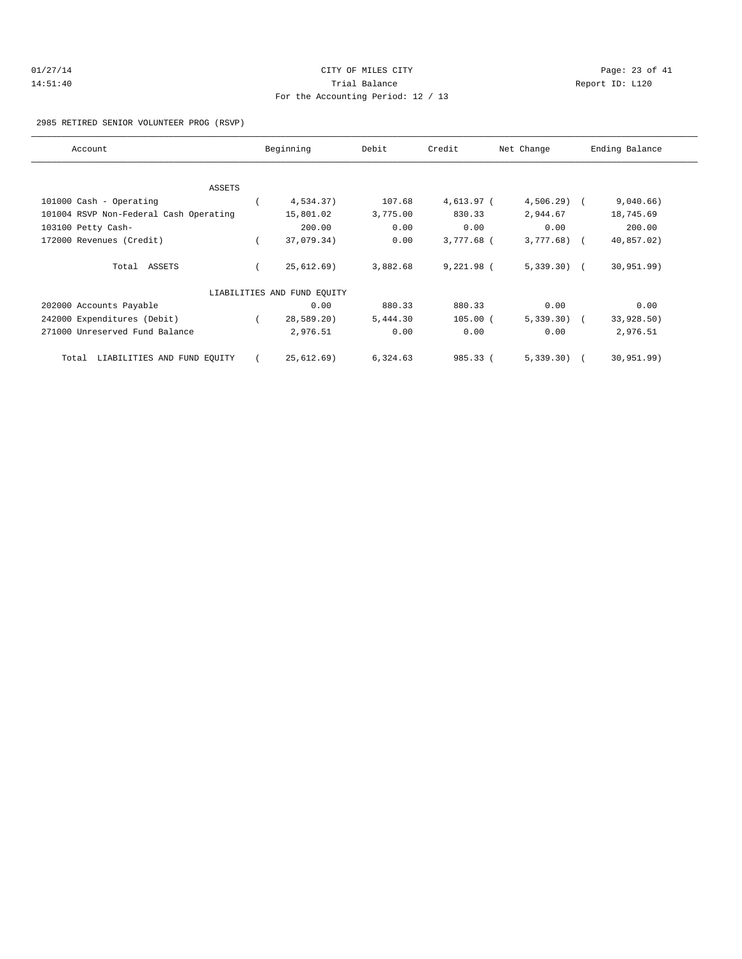| 01/27/14 | CITY OF MILES CITY                 | Page: 23 of 41  |
|----------|------------------------------------|-----------------|
| 14:51:40 | Trial Balance                      | Report ID: L120 |
|          | For the Accounting Period: 12 / 13 |                 |

2985 RETIRED SENIOR VOLUNTEER PROG (RSVP)

| Account                                | Beginning                   | Debit    | Credit     | Net Change   | Ending Balance |
|----------------------------------------|-----------------------------|----------|------------|--------------|----------------|
| ASSETS                                 |                             |          |            |              |                |
|                                        |                             |          |            |              |                |
| 101000 Cash - Operating                | 4,534.37)                   | 107.68   | 4,613.97 ( | $4,506.29$ ( | 9,040.66)      |
| 101004 RSVP Non-Federal Cash Operating | 15,801.02                   | 3,775.00 | 830.33     | 2,944.67     | 18,745.69      |
| 103100 Petty Cash-                     | 200.00                      | 0.00     | 0.00       | 0.00         | 200.00         |
| 172000 Revenues (Credit)               | 37,079.34)                  | 0.00     | 3,777.68 ( | $3,777.68$ ( | 40,857.02)     |
| Total ASSETS                           | 25,612.69)                  | 3,882.68 | 9,221.98 ( | $5,339.30$ ( | 30, 951.99)    |
|                                        | LIABILITIES AND FUND EQUITY |          |            |              |                |
| 202000 Accounts Payable                | 0.00                        | 880.33   | 880.33     | 0.00         | 0.00           |
| 242000 Expenditures (Debit)            | 28,589.20)                  | 5,444.30 | $105.00$ ( | $5,339.30$ ( | 33,928.50)     |
| 271000 Unreserved Fund Balance         | 2,976.51                    | 0.00     | 0.00       | 0.00         | 2,976.51       |
| LIABILITIES AND FUND EQUITY<br>Total   | 25,612.69)                  | 6,324.63 | 985.33 (   | $5,339.30$ ( | 30, 951.99)    |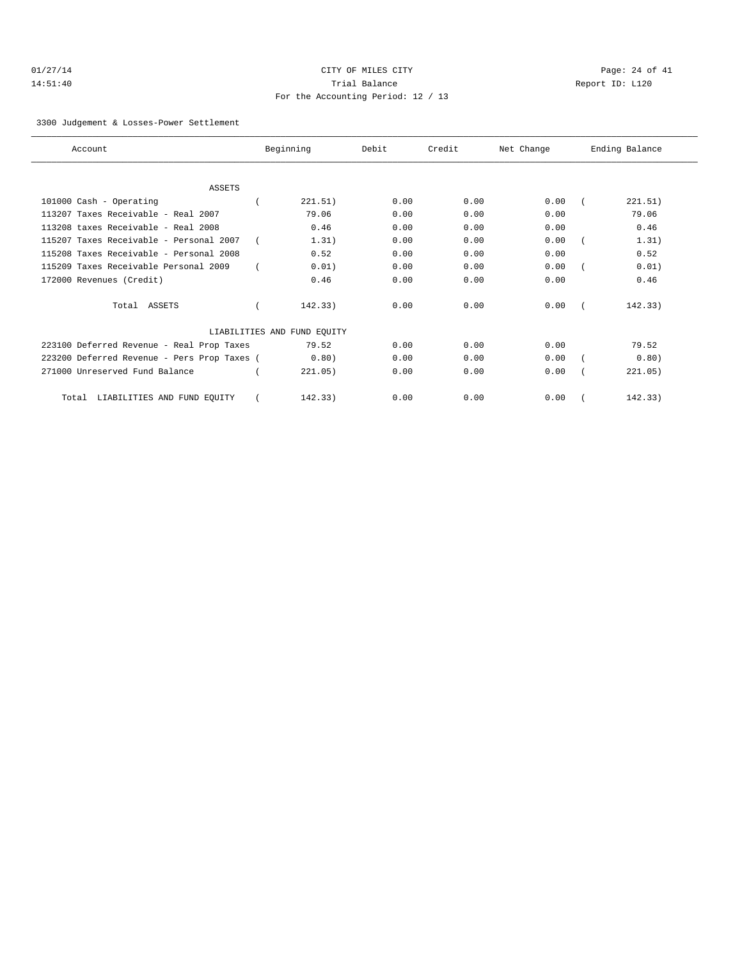| 01/27/14 |  |
|----------|--|
| 14:51:40 |  |

# CITY OF MILES CITY Dage: 24 of 41 Trial Balance and Trial Balance Report ID: L120 For the Accounting Period: 12 / 13

#### 3300 Judgement & Losses-Power Settlement

| Account                                     | Beginning                   | Debit | Credit | Net Change | Ending Balance |
|---------------------------------------------|-----------------------------|-------|--------|------------|----------------|
|                                             |                             |       |        |            |                |
| <b>ASSETS</b>                               |                             |       |        |            |                |
| 101000 Cash - Operating                     | 221.51)                     | 0.00  | 0.00   | 0.00       | 221.51)        |
| 113207 Taxes Receivable - Real 2007         | 79.06                       | 0.00  | 0.00   | 0.00       | 79.06          |
| 113208 taxes Receivable - Real 2008         | 0.46                        | 0.00  | 0.00   | 0.00       | 0.46           |
| 115207 Taxes Receivable - Personal 2007     | 1.31)                       | 0.00  | 0.00   | 0.00       | 1.31)          |
| 115208 Taxes Receivable - Personal 2008     | 0.52                        | 0.00  | 0.00   | 0.00       | 0.52           |
| 115209 Taxes Receivable Personal 2009       | 0.01)                       | 0.00  | 0.00   | 0.00       | 0.01)          |
| 172000 Revenues (Credit)                    | 0.46                        | 0.00  | 0.00   | 0.00       | 0.46           |
| Total ASSETS                                | 142.33)                     | 0.00  | 0.00   | 0.00       | 142.33)        |
|                                             | LIABILITIES AND FUND EQUITY |       |        |            |                |
| 223100 Deferred Revenue - Real Prop Taxes   | 79.52                       | 0.00  | 0.00   | 0.00       | 79.52          |
| 223200 Deferred Revenue - Pers Prop Taxes ( | 0.80)                       | 0.00  | 0.00   | 0.00       | 0.80)          |
| 271000 Unreserved Fund Balance              | 221.05)                     | 0.00  | 0.00   | 0.00       | 221.05)        |
| LIABILITIES AND FUND EQUITY<br>Total        | 142.33)                     | 0.00  | 0.00   | 0.00       | 142.33)        |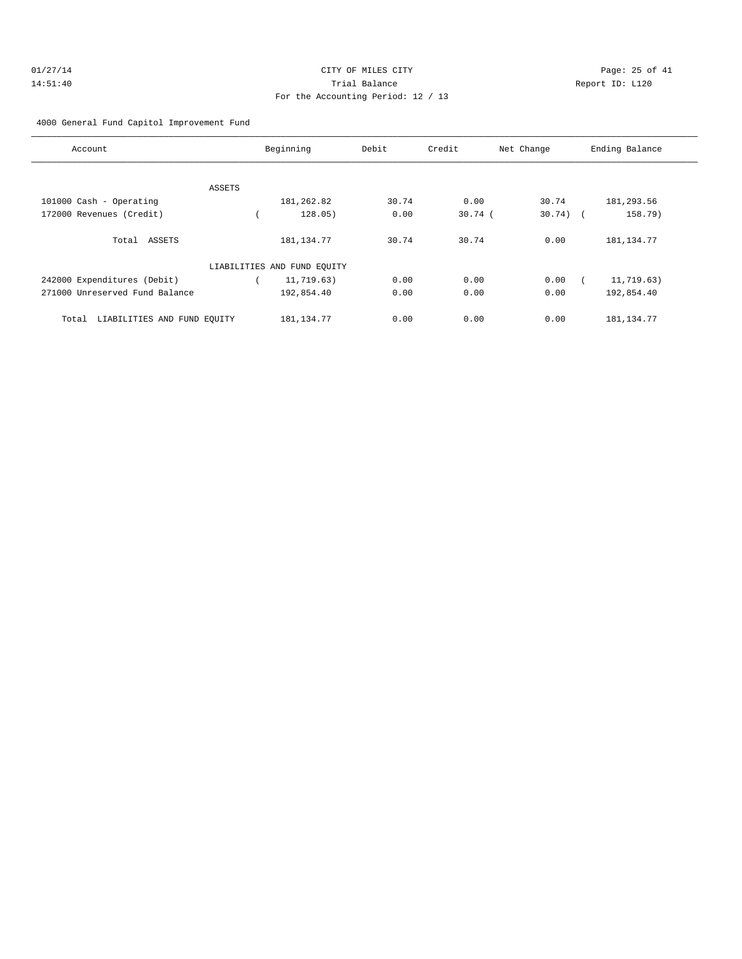#### 4000 General Fund Capitol Improvement Fund

| Account                              | Beginning                   | Debit | Credit    | Net Change | Ending Balance |
|--------------------------------------|-----------------------------|-------|-----------|------------|----------------|
|                                      |                             |       |           |            |                |
| ASSETS                               |                             |       |           |            |                |
| 101000 Cash - Operating              | 181,262.82                  | 30.74 | 0.00      | 30.74      | 181,293.56     |
| 172000 Revenues (Credit)             | 128.05)                     | 0.00  | $30.74$ ( | $30.74)$ ( | 158.79)        |
| Total ASSETS                         | 181, 134. 77                | 30.74 | 30.74     | 0.00       | 181, 134. 77   |
|                                      | LIABILITIES AND FUND EQUITY |       |           |            |                |
| 242000 Expenditures (Debit)          | 11,719.63)                  | 0.00  | 0.00      | 0.00       | 11,719.63)     |
| 271000 Unreserved Fund Balance       | 192,854.40                  | 0.00  | 0.00      | 0.00       | 192,854.40     |
| LIABILITIES AND FUND EQUITY<br>Total | 181, 134. 77                | 0.00  | 0.00      | 0.00       | 181, 134. 77   |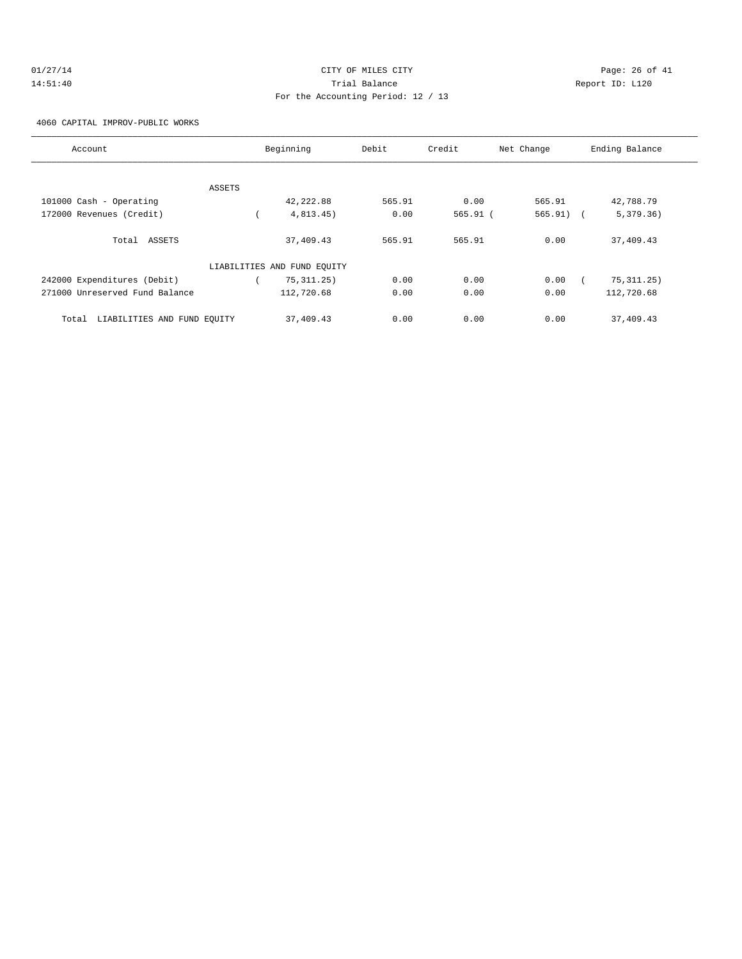# $O1/27/14$  Page: 26 of 41 14:51:40 Trial Balance Report ID: L120 For the Accounting Period: 12 / 13

4060 CAPITAL IMPROV-PUBLIC WORKS

| Account                              |        | Beginning                   | Debit  | Credit     | Net Change  | Ending Balance |
|--------------------------------------|--------|-----------------------------|--------|------------|-------------|----------------|
|                                      |        |                             |        |            |             |                |
|                                      | ASSETS |                             |        |            |             |                |
| 101000 Cash - Operating              |        | 42,222.88                   | 565.91 | 0.00       | 565.91      | 42,788.79      |
| 172000 Revenues (Credit)             |        | 4,813.45)                   | 0.00   | $565.91$ ( | $565.91)$ ( | 5,379.36)      |
| Total ASSETS                         |        | 37,409.43                   | 565.91 | 565.91     | 0.00        | 37,409.43      |
|                                      |        | LIABILITIES AND FUND EQUITY |        |            |             |                |
| 242000 Expenditures (Debit)          |        | 75, 311, 25)                | 0.00   | 0.00       | 0.00        | 75, 311.25)    |
| 271000 Unreserved Fund Balance       |        | 112,720.68                  | 0.00   | 0.00       | 0.00        | 112,720.68     |
| LIABILITIES AND FUND EQUITY<br>Total |        | 37,409.43                   | 0.00   | 0.00       | 0.00        | 37,409.43      |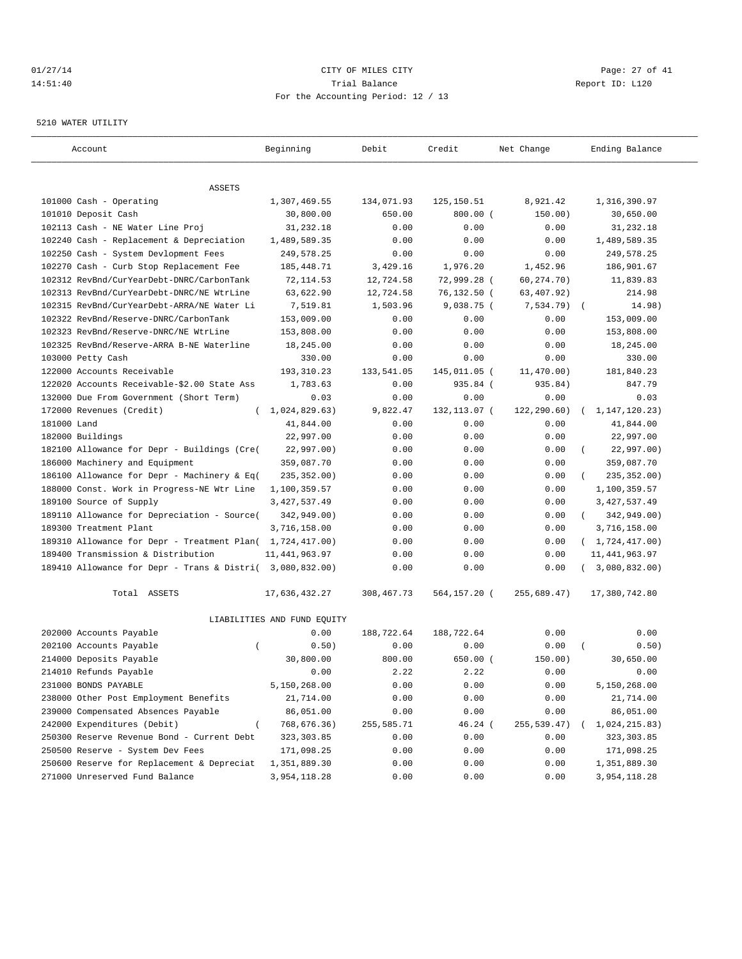# $CITY$   $CITY$   $CITY$   $PAGE: 27 of 41$ 14:51:40 Trial Balance Report ID: L120 For the Accounting Period: 12 / 13

#### 5210 WATER UTILITY

| Account                                                   | Beginning                   | Debit        | Credit        | Net Change   | Ending Balance               |
|-----------------------------------------------------------|-----------------------------|--------------|---------------|--------------|------------------------------|
|                                                           |                             |              |               |              |                              |
| ASSETS<br>101000 Cash - Operating                         | 1,307,469.55                | 134,071.93   | 125, 150.51   | 8,921.42     | 1,316,390.97                 |
| 101010 Deposit Cash                                       | 30,800.00                   | 650.00       | $800.00$ (    | 150.00)      | 30,650.00                    |
| 102113 Cash - NE Water Line Proj                          | 31,232.18                   | 0.00         | 0.00          | 0.00         | 31,232.18                    |
| 102240 Cash - Replacement & Depreciation                  | 1,489,589.35                | 0.00         | 0.00          | 0.00         | 1,489,589.35                 |
| 102250 Cash - System Devlopment Fees                      | 249,578.25                  | 0.00         | 0.00          | 0.00         | 249,578.25                   |
| 102270 Cash - Curb Stop Replacement Fee                   | 185, 448. 71                | 3,429.16     | 1,976.20      | 1,452.96     | 186,901.67                   |
| 102312 RevBnd/CurYearDebt-DNRC/CarbonTank                 | 72, 114.53                  | 12,724.58    | 72,999.28 (   | 60,274.70)   | 11,839.83                    |
| 102313 RevBnd/CurYearDebt-DNRC/NE WtrLine                 | 63,622.90                   | 12,724.58    | 76,132.50 (   | 63,407.92)   | 214.98                       |
| 102315 RevBnd/CurYearDebt-ARRA/NE Water Li                | 7,519.81                    | 1,503.96     | $9,038.75$ (  | $7,534.79$ ( | 14.98)                       |
| 102322 RevBnd/Reserve-DNRC/CarbonTank                     | 153,009.00                  | 0.00         | 0.00          | 0.00         | 153,009.00                   |
| 102323 RevBnd/Reserve-DNRC/NE WtrLine                     | 153,808.00                  | 0.00         | 0.00          | 0.00         | 153,808.00                   |
| 102325 RevBnd/Reserve-ARRA B-NE Waterline                 | 18,245.00                   | 0.00         | 0.00          | 0.00         | 18,245.00                    |
| 103000 Petty Cash                                         | 330.00                      | 0.00         | 0.00          | 0.00         | 330.00                       |
| 122000 Accounts Receivable                                | 193, 310.23                 | 133,541.05   | 145,011.05 (  | 11,470.00)   | 181,840.23                   |
| 122020 Accounts Receivable-\$2.00 State Ass               | 1,783.63                    | 0.00         | 935.84 (      | 935.84)      | 847.79                       |
| 132000 Due From Government (Short Term)                   | 0.03                        | 0.00         | 0.00          | 0.00         | 0.03                         |
| 172000 Revenues (Credit)<br>$\left($                      | 1,024,829.63)               | 9,822.47     | 132, 113.07 ( | 122, 290.60) | 1, 147, 120. 23)<br>$\left($ |
| 181000 Land                                               | 41,844.00                   | 0.00         | 0.00          | 0.00         | 41,844.00                    |
| 182000 Buildings                                          | 22,997.00                   | 0.00         | 0.00          | 0.00         | 22,997.00                    |
| 182100 Allowance for Depr - Buildings (Cre(               | 22,997.00)                  | 0.00         | 0.00          | 0.00         | 22,997.00)                   |
| 186000 Machinery and Equipment                            | 359,087.70                  | 0.00         | 0.00          | 0.00         | 359,087.70                   |
| 186100 Allowance for Depr - Machinery & Eq(               | 235, 352.00)                | 0.00         | 0.00          | 0.00         | 235, 352.00)                 |
| 188000 Const. Work in Progress-NE Wtr Line                | 1,100,359.57                | 0.00         | 0.00          | 0.00         | 1,100,359.57                 |
| 189100 Source of Supply                                   | 3, 427, 537.49              | 0.00         | 0.00          | 0.00         | 3, 427, 537.49               |
| 189110 Allowance for Depreciation - Source(               | 342,949.00)                 | 0.00         | 0.00          | 0.00         | 342,949.00)<br>$\left($      |
| 189300 Treatment Plant                                    | 3,716,158.00                | 0.00         | 0.00          | 0.00         | 3,716,158.00                 |
| 189310 Allowance for Depr - Treatment Plan( 1,724,417.00) |                             | 0.00         | 0.00          | 0.00         | (1, 724, 417.00)             |
| 189400 Transmission & Distribution                        | 11, 441, 963.97             | 0.00         | 0.00          | 0.00         | 11, 441, 963.97              |
| 189410 Allowance for Depr - Trans & Distri( 3,080,832.00) |                             | 0.00         | 0.00          | 0.00         | 3,080,832.00)                |
| Total ASSETS                                              | 17,636,432.27               | 308, 467. 73 | 564,157.20 (  | 255,689.47)  | 17,380,742.80                |
|                                                           | LIABILITIES AND FUND EQUITY |              |               |              |                              |
| 202000 Accounts Payable                                   | 0.00                        | 188,722.64   | 188,722.64    | 0.00         | 0.00                         |
| 202100 Accounts Payable<br>$\overline{ }$                 | 0.50)                       | 0.00         | 0.00          | 0.00         | 0.50)                        |
| 214000 Deposits Payable                                   | 30,800.00                   | 800.00       | $650.00$ $($  | 150.00)      | 30,650.00                    |
| 214010 Refunds Payable                                    | 0.00                        | 2.22         | 2.22          | 0.00         | 0.00                         |
| 231000 BONDS PAYABLE                                      | 5,150,268.00                | 0.00         | 0.00          | 0.00         | 5,150,268.00                 |
| 238000 Other Post Employment Benefits                     | 21,714.00                   | 0.00         | 0.00          | 0.00         | 21,714.00                    |
| 239000 Compensated Absences Payable                       | 86,051.00                   | 0.00         | 0.00          | 0.00         | 86,051.00                    |
| 242000 Expenditures (Debit)                               | 768,676.36)                 | 255,585.71   | $46.24$ (     | 255, 539.47) | 1,024,215.83)                |
| 250300 Reserve Revenue Bond - Current Debt                | 323, 303.85                 | 0.00         | 0.00          | 0.00         | 323,303.85                   |
| 250500 Reserve - System Dev Fees                          | 171,098.25                  | 0.00         | 0.00          | 0.00         | 171,098.25                   |
| 250600 Reserve for Replacement & Depreciat                | 1,351,889.30                | 0.00         | 0.00          | 0.00         | 1,351,889.30                 |
| 271000 Unreserved Fund Balance                            | 3,954,118.28                | 0.00         | 0.00          | 0.00         | 3,954,118.28                 |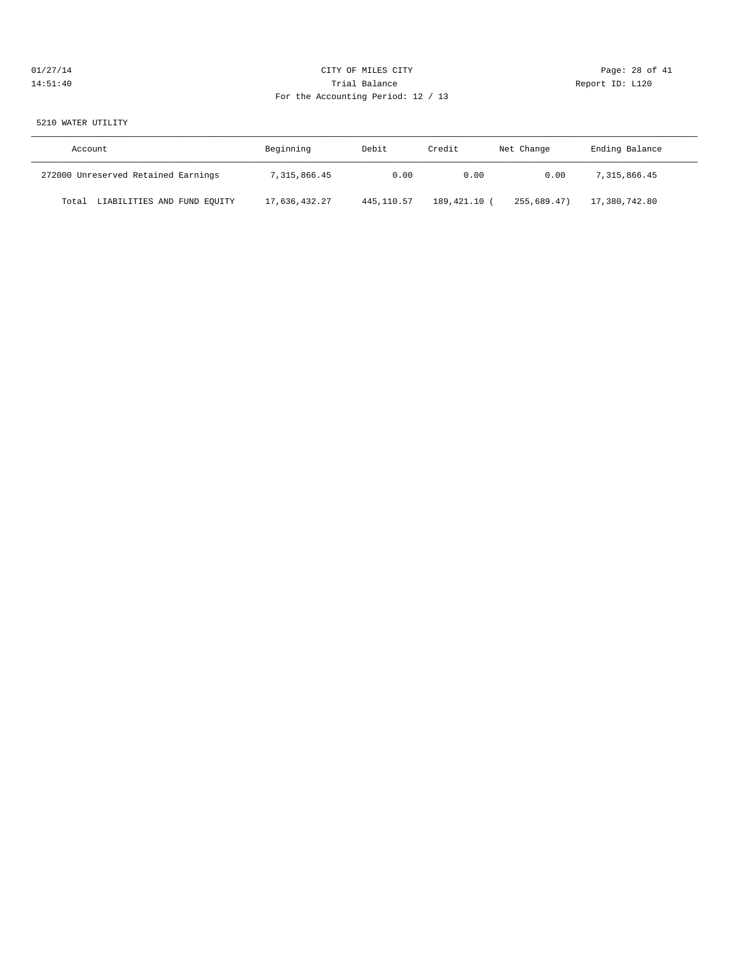# 01/27/14 CITY OF MILES CITY Page: 28 of 41 14:51:40 Trial Balance Report ID: L120 For the Accounting Period: 12 / 13

#### 5210 WATER UTILITY

| Account                              | Beginning     | Debit      | Credit     | Net Change  | Ending Balance |
|--------------------------------------|---------------|------------|------------|-------------|----------------|
| 272000 Unreserved Retained Earnings  | 7,315,866.45  | 0.00       | 0.00       | 0.00        | 7,315,866.45   |
| LIABILITIES AND FUND EQUITY<br>Total | 17,636,432.27 | 445,110.57 | 189,421.10 | 255,689.47) | 17,380,742.80  |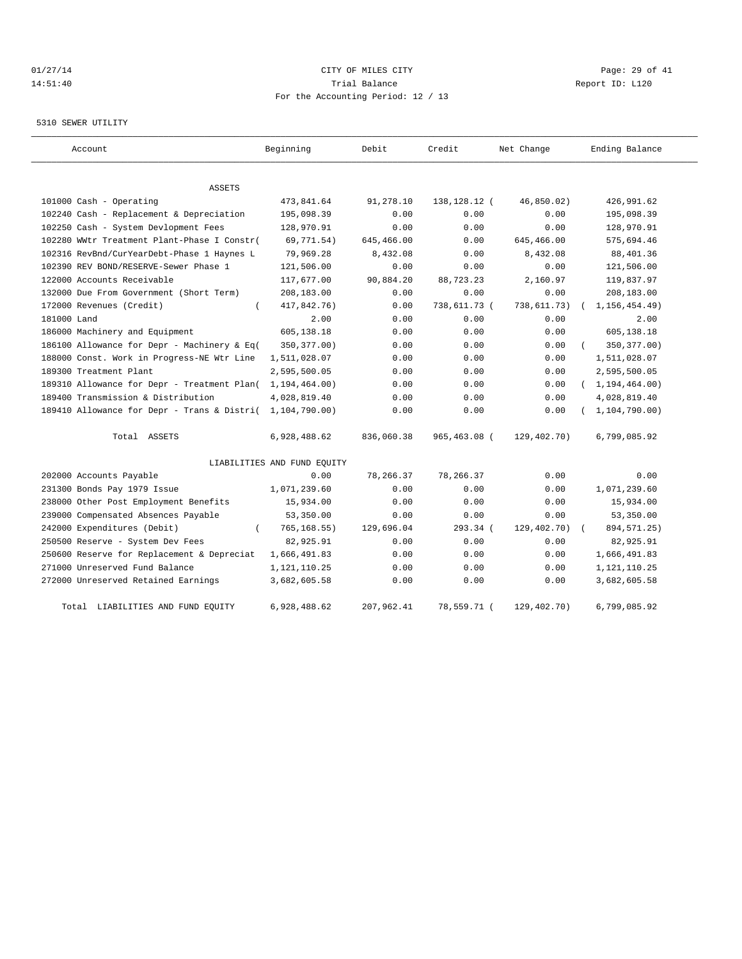# $CITY$   $CITY$   $CITY$   $PAGE: 29$  of 41 14:51:40 Trial Balance Report ID: L120 For the Accounting Period: 12 / 13

#### 5310 SEWER UTILITY

| Account                                     | Beginning                   | Debit      | Credit         | Net Change  | Ending Balance   |
|---------------------------------------------|-----------------------------|------------|----------------|-------------|------------------|
| <b>ASSETS</b>                               |                             |            |                |             |                  |
| 101000 Cash - Operating                     | 473,841.64                  | 91,278.10  | 138, 128. 12 ( | 46,850.02)  | 426,991.62       |
| 102240 Cash - Replacement & Depreciation    | 195,098.39                  | 0.00       | 0.00           | 0.00        | 195,098.39       |
| 102250 Cash - System Devlopment Fees        | 128,970.91                  | 0.00       | 0.00           | 0.00        | 128,970.91       |
| 102280 WWtr Treatment Plant-Phase I Constr( | 69,771.54)                  | 645,466.00 | 0.00           | 645,466.00  | 575,694.46       |
| 102316 RevBnd/CurYearDebt-Phase 1 Haynes L  | 79,969.28                   | 8,432.08   | 0.00           | 8,432.08    | 88, 401.36       |
| 102390 REV BOND/RESERVE-Sewer Phase 1       | 121,506.00                  | 0.00       | 0.00           | 0.00        | 121,506.00       |
| 122000 Accounts Receivable                  | 117,677.00                  | 90,884.20  | 88,723.23      | 2,160.97    | 119,837.97       |
| 132000 Due From Government (Short Term)     | 208,183.00                  | 0.00       | 0.00           | 0.00        | 208,183.00       |
| 172000 Revenues (Credit)<br>$\left($        | 417,842.76)                 | 0.00       | 738,611.73 (   | 738,611.73) | 1, 156, 454.49   |
| 181000 Land                                 | 2.00                        | 0.00       | 0.00           | 0.00        | 2.00             |
| 186000 Machinery and Equipment              | 605,138.18                  | 0.00       | 0.00           | 0.00        | 605,138.18       |
| 186100 Allowance for Depr - Machinery & Eq( | 350, 377.00)                | 0.00       | 0.00           | 0.00        | 350, 377.00)     |
| 188000 Const. Work in Progress-NE Wtr Line  | 1,511,028.07                | 0.00       | 0.00           | 0.00        | 1,511,028.07     |
| 189300 Treatment Plant                      | 2,595,500.05                | 0.00       | 0.00           | 0.00        | 2,595,500.05     |
| 189310 Allowance for Depr - Treatment Plan( | 1, 194, 464.00)             | 0.00       | 0.00           | 0.00        | (1, 194, 464.00) |
| 189400 Transmission & Distribution          | 4,028,819.40                | 0.00       | 0.00           | 0.00        | 4,028,819.40     |
| 189410 Allowance for Depr - Trans & Distri( | 1,104,790.00)               | 0.00       | 0.00           | 0.00        | 1, 104, 790.00   |
| Total ASSETS                                | 6,928,488.62                | 836,060.38 | 965,463.08 (   | 129,402.70) | 6,799,085.92     |
|                                             | LIABILITIES AND FUND EQUITY |            |                |             |                  |
| 202000 Accounts Payable                     | 0.00                        | 78,266.37  | 78,266.37      | 0.00        | 0.00             |
| 231300 Bonds Pay 1979 Issue                 | 1,071,239.60                | 0.00       | 0.00           | 0.00        | 1,071,239.60     |
| 238000 Other Post Employment Benefits       | 15,934.00                   | 0.00       | 0.00           | 0.00        | 15,934.00        |
| 239000 Compensated Absences Payable         | 53,350.00                   | 0.00       | 0.00           | 0.00        | 53,350.00        |
| 242000 Expenditures (Debit)                 | 765, 168.55)                | 129,696.04 | 293.34 (       | 129,402.70) | 894, 571. 25)    |
| 250500 Reserve - System Dev Fees            | 82,925.91                   | 0.00       | 0.00           | 0.00        | 82,925.91        |
| 250600 Reserve for Replacement & Depreciat  | 1,666,491.83                | 0.00       | 0.00           | 0.00        | 1,666,491.83     |
| 271000 Unreserved Fund Balance              | 1,121,110.25                | 0.00       | 0.00           | 0.00        | 1, 121, 110. 25  |
| 272000 Unreserved Retained Earnings         | 3,682,605.58                | 0.00       | 0.00           | 0.00        | 3,682,605.58     |
| Total LIABILITIES AND FUND EQUITY           | 6,928,488.62                | 207,962.41 | 78,559.71 (    | 129,402.70) | 6,799,085.92     |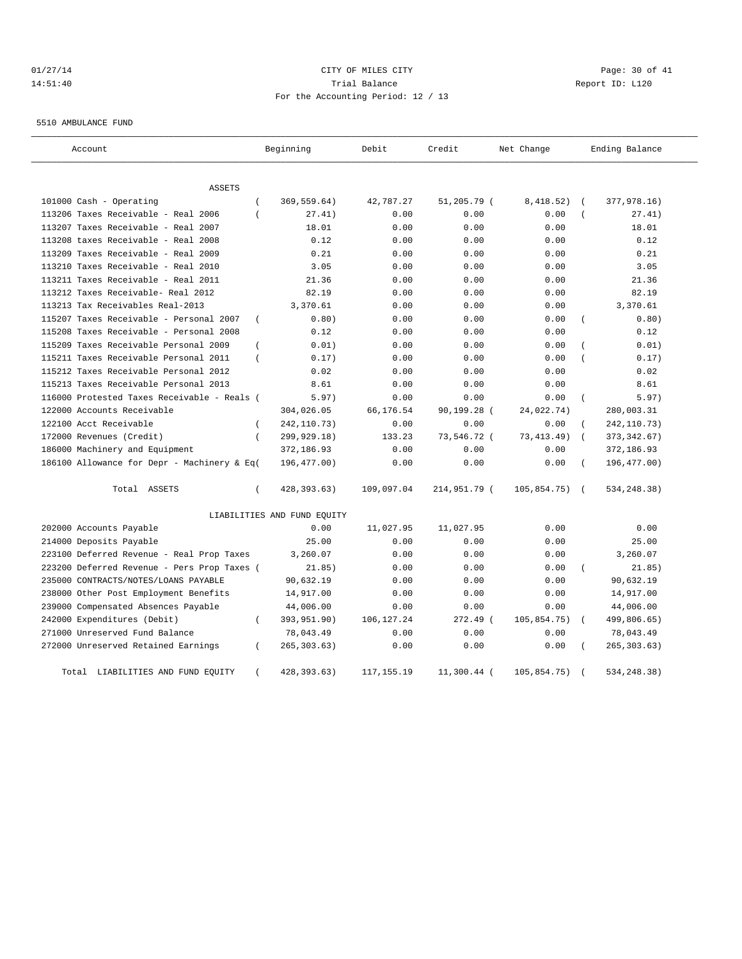# $CITY$  of  $CITY$  and  $CITY$  of  $MLES$  city of  $MLES$  city  $Page: 30$  of  $41$ 14:51:40 Trial Balance Report ID: L120 For the Accounting Period: 12 / 13

5510 AMBULANCE FUND

| Account                                     |                | Beginning                   | Debit        | Credit       | Net Change   |                | Ending Balance |
|---------------------------------------------|----------------|-----------------------------|--------------|--------------|--------------|----------------|----------------|
| ASSETS                                      |                |                             |              |              |              |                |                |
| 101000 Cash - Operating                     | $\overline{ }$ | 369,559.64)                 | 42,787.27    | 51,205.79 (  | 8,418.52)    |                | 377,978.16)    |
| 113206 Taxes Receivable - Real 2006         | $\left($       | 27.41)                      | 0.00         | 0.00         | 0.00         |                | 27.41)         |
| 113207 Taxes Receivable - Real 2007         |                | 18.01                       | 0.00         | 0.00         | 0.00         |                | 18.01          |
| 113208 taxes Receivable - Real 2008         |                | 0.12                        | 0.00         | 0.00         | 0.00         |                | 0.12           |
| 113209 Taxes Receivable - Real 2009         |                | 0.21                        | 0.00         | 0.00         | 0.00         |                | 0.21           |
| 113210 Taxes Receivable - Real 2010         |                | 3.05                        | 0.00         | 0.00         | 0.00         |                | 3.05           |
| 113211 Taxes Receivable - Real 2011         |                | 21.36                       | 0.00         | 0.00         | 0.00         |                | 21.36          |
| 113212 Taxes Receivable- Real 2012          |                | 82.19                       | 0.00         | 0.00         | 0.00         |                | 82.19          |
| 113213 Tax Receivables Real-2013            |                | 3,370.61                    | 0.00         | 0.00         | 0.00         |                | 3,370.61       |
| 115207 Taxes Receivable - Personal 2007     | $\left($       | 0.80)                       | 0.00         | 0.00         | 0.00         |                | 0.80)          |
| 115208 Taxes Receivable - Personal 2008     |                | 0.12                        | 0.00         | 0.00         | 0.00         |                | 0.12           |
| 115209 Taxes Receivable Personal 2009       | $\left($       | 0.01)                       | 0.00         | 0.00         | 0.00         |                | 0.01)          |
| 115211 Taxes Receivable Personal 2011       | $\left($       | 0.17)                       | 0.00         | 0.00         | 0.00         |                | 0.17)          |
| 115212 Taxes Receivable Personal 2012       |                | 0.02                        | 0.00         | 0.00         | 0.00         |                | 0.02           |
| 115213 Taxes Receivable Personal 2013       |                | 8.61                        | 0.00         | 0.00         | 0.00         |                | 8.61           |
| 116000 Protested Taxes Receivable - Reals ( |                | 5.97)                       | 0.00         | 0.00         | 0.00         | $\overline{(}$ | 5.97)          |
| 122000 Accounts Receivable                  |                | 304,026.05                  | 66,176.54    | 90,199.28 (  | 24,022.74)   |                | 280,003.31     |
| 122100 Acct Receivable                      | $\left($       | 242, 110.73)                | 0.00         | 0.00         | 0.00         |                | 242, 110.73)   |
| 172000 Revenues (Credit)                    | $\overline{ }$ | 299,929.18)                 | 133.23       | 73,546.72 (  | 73, 413. 49) |                | 373, 342.67)   |
| 186000 Machinery and Equipment              |                | 372,186.93                  | 0.00         | 0.00         | 0.00         |                | 372,186.93     |
| 186100 Allowance for Depr - Machinery & Eq( |                | 196,477.00)                 | 0.00         | 0.00         | 0.00         |                | 196,477.00)    |
| Total ASSETS                                | $\left($       | 428, 393.63)                | 109,097.04   | 214,951.79 ( | 105,854.75)  | $\sqrt{2}$     | 534, 248.38)   |
|                                             |                | LIABILITIES AND FUND EQUITY |              |              |              |                |                |
| 202000 Accounts Payable                     |                | 0.00                        | 11,027.95    | 11,027.95    | 0.00         |                | 0.00           |
| 214000 Deposits Payable                     |                | 25.00                       | 0.00         | 0.00         | 0.00         |                | 25.00          |
| 223100 Deferred Revenue - Real Prop Taxes   |                | 3,260.07                    | 0.00         | 0.00         | 0.00         |                | 3,260.07       |
| 223200 Deferred Revenue - Pers Prop Taxes ( |                | 21.85)                      | 0.00         | 0.00         | 0.00         |                | 21.85)         |
| 235000 CONTRACTS/NOTES/LOANS PAYABLE        |                | 90,632.19                   | 0.00         | 0.00         | 0.00         |                | 90,632.19      |
| 238000 Other Post Employment Benefits       |                | 14,917.00                   | 0.00         | 0.00         | 0.00         |                | 14,917.00      |
| 239000 Compensated Absences Payable         |                | 44,006.00                   | 0.00         | 0.00         | 0.00         |                | 44,006.00      |
| 242000 Expenditures (Debit)                 | $\left($       | 393,951.90)                 | 106, 127.24  | 272.49 (     | 105,854.75)  |                | 499,806.65)    |
| 271000 Unreserved Fund Balance              |                | 78,043.49                   | 0.00         | 0.00         | 0.00         |                | 78,043.49      |
| 272000 Unreserved Retained Earnings         | $\left($       | 265, 303.63)                | 0.00         | 0.00         | 0.00         |                | 265, 303.63)   |
| LIABILITIES AND FUND EQUITY<br>Total        | $\left($       | 428,393.63)                 | 117, 155. 19 | 11,300.44 (  | 105,854.75)  |                | 534, 248, 38)  |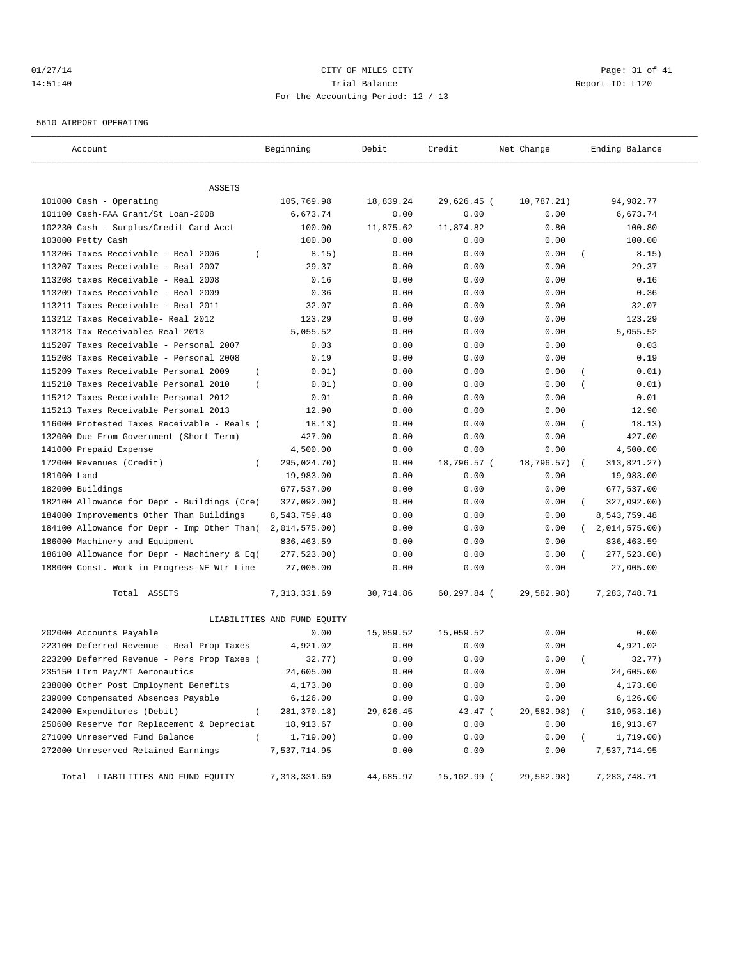# 01/27/14 Page: 31 of 41 14:51:40 Trial Balance Report ID: L120 For the Accounting Period: 12 / 13

5610 AIRPORT OPERATING

| Account                                                     | Beginning                   | Debit        | Credit         | Net Change   | Ending Balance             |
|-------------------------------------------------------------|-----------------------------|--------------|----------------|--------------|----------------------------|
|                                                             |                             |              |                |              |                            |
| ASSETS                                                      |                             |              |                |              |                            |
| 101000 Cash - Operating                                     | 105,769.98                  | 18,839.24    | 29,626.45 (    | 10,787.21)   | 94,982.77<br>6,673.74      |
| 101100 Cash-FAA Grant/St Loan-2008                          | 6,673.74                    | 0.00         | 0.00           | 0.00         |                            |
| 102230 Cash - Surplus/Credit Card Acct<br>103000 Petty Cash | 100.00<br>100.00            | 11,875.62    | 11,874.82      | 0.80<br>0.00 | 100.80<br>100.00           |
| 113206 Taxes Receivable - Real 2006<br>$\overline{ }$       |                             | 0.00         | 0.00           | 0.00         |                            |
| 113207 Taxes Receivable - Real 2007                         | 8.15)<br>29.37              | 0.00<br>0.00 | 0.00<br>0.00   | 0.00         | 8.15)<br>29.37             |
| 113208 taxes Receivable - Real 2008                         | 0.16                        | 0.00         | 0.00           | 0.00         | 0.16                       |
| 113209 Taxes Receivable - Real 2009                         | 0.36                        | 0.00         | 0.00           | 0.00         | 0.36                       |
| 113211 Taxes Receivable - Real 2011                         | 32.07                       | 0.00         | 0.00           | 0.00         | 32.07                      |
| 113212 Taxes Receivable- Real 2012                          | 123.29                      | 0.00         | 0.00           | 0.00         | 123.29                     |
| 113213 Tax Receivables Real-2013                            | 5,055.52                    | 0.00         | 0.00           | 0.00         | 5,055.52                   |
| 115207 Taxes Receivable - Personal 2007                     | 0.03                        | 0.00         | 0.00           | 0.00         | 0.03                       |
| 115208 Taxes Receivable - Personal 2008                     | 0.19                        | 0.00         | 0.00           | 0.00         | 0.19                       |
| 115209 Taxes Receivable Personal 2009<br>$\overline{ }$     | 0.01)                       | 0.00         | 0.00           | 0.00         | 0.01)                      |
| 115210 Taxes Receivable Personal 2010<br>$\overline{ }$     | 0.01)                       | 0.00         | 0.00           | 0.00         | 0.01)                      |
| 115212 Taxes Receivable Personal 2012                       | 0.01                        | 0.00         | 0.00           | 0.00         | 0.01                       |
| 115213 Taxes Receivable Personal 2013                       | 12.90                       | 0.00         | 0.00           | 0.00         | 12.90                      |
| 116000 Protested Taxes Receivable - Reals (                 | 18.13)                      | 0.00         | 0.00           | 0.00         | 18.13)<br>$\left($         |
| 132000 Due From Government (Short Term)                     | 427.00                      | 0.00         | 0.00           | 0.00         | 427.00                     |
| 141000 Prepaid Expense                                      | 4,500.00                    | 0.00         | 0.00           | 0.00         | 4,500.00                   |
| 172000 Revenues (Credit)<br>$\left($                        | 295,024.70)                 | 0.00         | 18,796.57 (    | 18,796.57)   | 313,821.27)<br>$\left($    |
| 181000 Land                                                 | 19,983.00                   | 0.00         | 0.00           | 0.00         | 19,983.00                  |
| 182000 Buildings                                            | 677,537.00                  | 0.00         | 0.00           | 0.00         | 677,537.00                 |
| 182100 Allowance for Depr - Buildings (Cre(                 | 327,092.00)                 | 0.00         | 0.00           | 0.00         | 327,092.00)                |
| 184000 Improvements Other Than Buildings                    | 8,543,759.48                | 0.00         | 0.00           | 0.00         | 8,543,759.48               |
| 184100 Allowance for Depr - Imp Other Than(                 | 2,014,575.00)               | 0.00         | 0.00           | 0.00         | 2,014,575.00<br>$\sqrt{2}$ |
| 186000 Machinery and Equipment                              | 836,463.59                  | 0.00         | 0.00           | 0.00         | 836,463.59                 |
| 186100 Allowance for Depr - Machinery & Eq(                 | 277,523.00)                 | 0.00         | 0.00           | 0.00         | 277,523.00)                |
| 188000 Const. Work in Progress-NE Wtr Line                  | 27,005.00                   | 0.00         | 0.00           | 0.00         | 27,005.00                  |
| Total ASSETS                                                | 7, 313, 331.69              | 30,714.86    | $60, 297.84$ ( | 29,582.98)   | 7,283,748.71               |
|                                                             | LIABILITIES AND FUND EQUITY |              |                |              |                            |
| 202000 Accounts Payable                                     | 0.00                        | 15,059.52    | 15,059.52      | 0.00         | 0.00                       |
| 223100 Deferred Revenue - Real Prop Taxes                   | 4,921.02                    | 0.00         | 0.00           | 0.00         | 4,921.02                   |
| 223200 Deferred Revenue - Pers Prop Taxes (                 | 32.77)                      | 0.00         | 0.00           | 0.00         | 32.77)                     |
| 235150 LTrm Pay/MT Aeronautics                              | 24,605.00                   | 0.00         | 0.00           | 0.00         | 24,605.00                  |
| 238000 Other Post Employment Benefits                       | 4,173.00                    | 0.00         | 0.00           | 0.00         | 4,173.00                   |
| 239000 Compensated Absences Payable                         | 6, 126.00                   | 0.00         | 0.00           | 0.00         | 6, 126.00                  |
| 242000 Expenditures (Debit)<br>$\overline{ }$               | 281, 370.18)                | 29,626.45    | 43.47 (        | 29,582.98)   | 310,953.16)                |
| 250600 Reserve for Replacement & Depreciat                  | 18,913.67                   | 0.00         | 0.00           | 0.00         | 18,913.67                  |
| 271000 Unreserved Fund Balance<br>$\left($                  | 1,719.00)                   | 0.00         | 0.00           | 0.00         | 1,719.00)                  |
| 272000 Unreserved Retained Earnings                         | 7,537,714.95                | 0.00         | 0.00           | 0.00         | 7,537,714.95               |
| Total LIABILITIES AND FUND EQUITY                           | 7,313,331.69                | 44,685.97    | 15,102.99 (    | 29,582.98)   | 7,283,748.71               |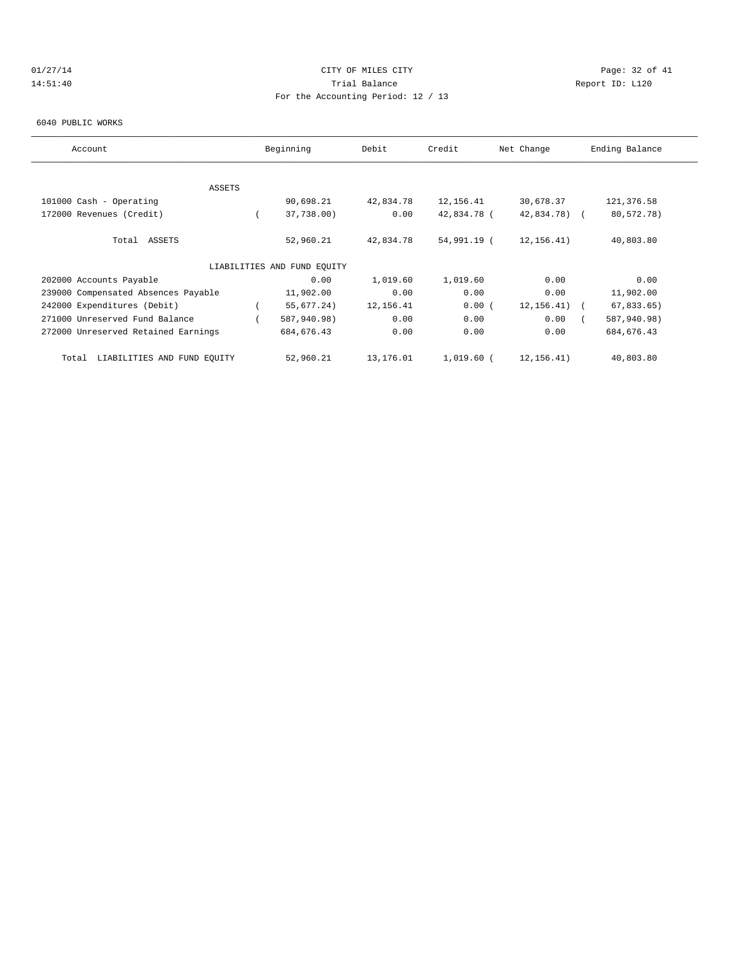# $CITY$  of  $CITY$  and  $CITY$  of  $MLES$  city  $CITY$  and  $PAGE: 32$  of  $41$ 14:51:40 Trial Balance Report ID: L120 For the Accounting Period: 12 / 13

#### 6040 PUBLIC WORKS

| Account                              | Beginning                   | Debit     | Credit      | Net Change      | Ending Balance |
|--------------------------------------|-----------------------------|-----------|-------------|-----------------|----------------|
|                                      |                             |           |             |                 |                |
| <b>ASSETS</b>                        |                             |           |             |                 |                |
| 101000 Cash - Operating              | 90,698.21                   | 42,834.78 | 12,156.41   | 30,678.37       | 121,376.58     |
| 172000 Revenues (Credit)             | 37,738.00)                  | 0.00      | 42,834.78 ( | 42,834.78) (    | 80,572.78)     |
| Total ASSETS                         | 52,960.21                   | 42,834.78 | 54,991.19 ( | 12, 156. 41)    | 40,803.80      |
|                                      | LIABILITIES AND FUND EQUITY |           |             |                 |                |
| 202000 Accounts Payable              | 0.00                        | 1,019.60  | 1,019.60    | 0.00            | 0.00           |
| 239000 Compensated Absences Payable  | 11,902.00                   | 0.00      | 0.00        | 0.00            | 11,902.00      |
| 242000 Expenditures (Debit)          | 55,677.24)                  | 12,156.41 | 0.00(       | $12, 156, 41$ ( | $67,833.65$ )  |
| 271000 Unreserved Fund Balance       | 587,940.98)                 | 0.00      | 0.00        | 0.00            | 587,940.98)    |
| 272000 Unreserved Retained Earnings  | 684, 676.43                 | 0.00      | 0.00        | 0.00            | 684, 676.43    |
| LIABILITIES AND FUND EQUITY<br>Total | 52,960.21                   | 13,176.01 | 1,019.60 (  | 12,156.41)      | 40,803.80      |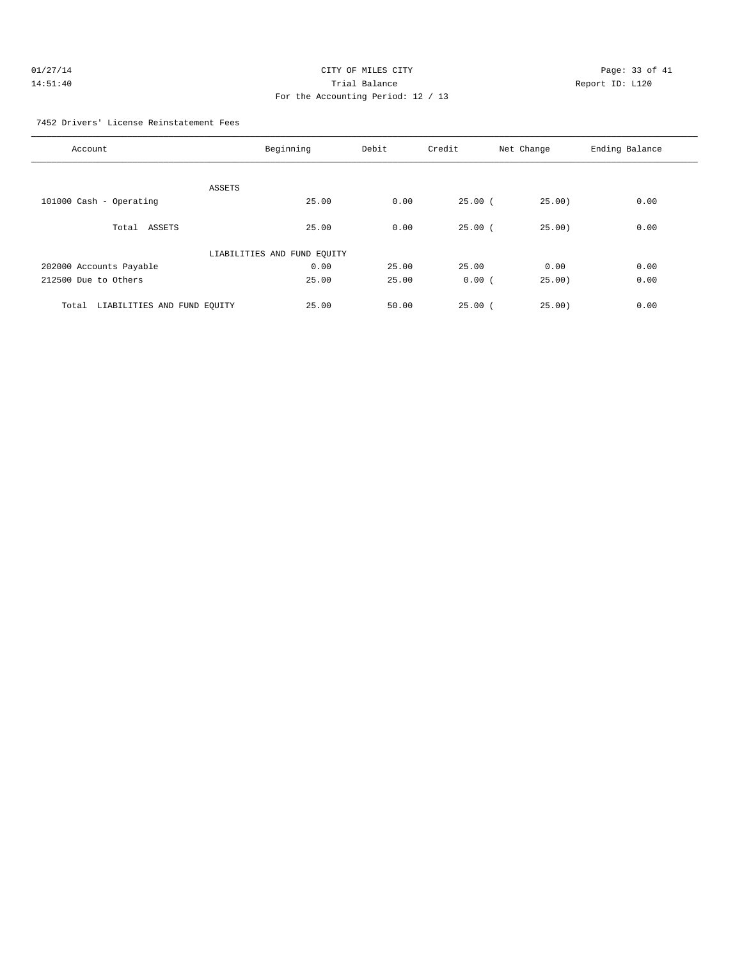# 01/27/14 Page: 33 of 41 14:51:40 Trial Balance Report ID: L120 For the Accounting Period: 12 / 13

#### 7452 Drivers' License Reinstatement Fees

| Account                              | Beginning                   | Debit | Credit      | Net Change | Ending Balance |
|--------------------------------------|-----------------------------|-------|-------------|------------|----------------|
| ASSETS                               |                             |       |             |            |                |
| 101000 Cash - Operating              | 25.00                       | 0.00  | $25.00$ (   | 25.00)     | 0.00           |
| Total ASSETS                         | 25.00                       | 0.00  | 25.00(      | 25.00      | 0.00           |
|                                      | LIABILITIES AND FUND EQUITY |       |             |            |                |
| 202000 Accounts Payable              | 0.00                        | 25.00 | 25.00       | 0.00       | 0.00           |
| 212500 Due to Others                 | 25.00                       | 25.00 | 0.00(       | 25.00      | 0.00           |
| LIABILITIES AND FUND EQUITY<br>Total | 25.00                       | 50.00 | $25.00$ $($ | 25.00)     | 0.00           |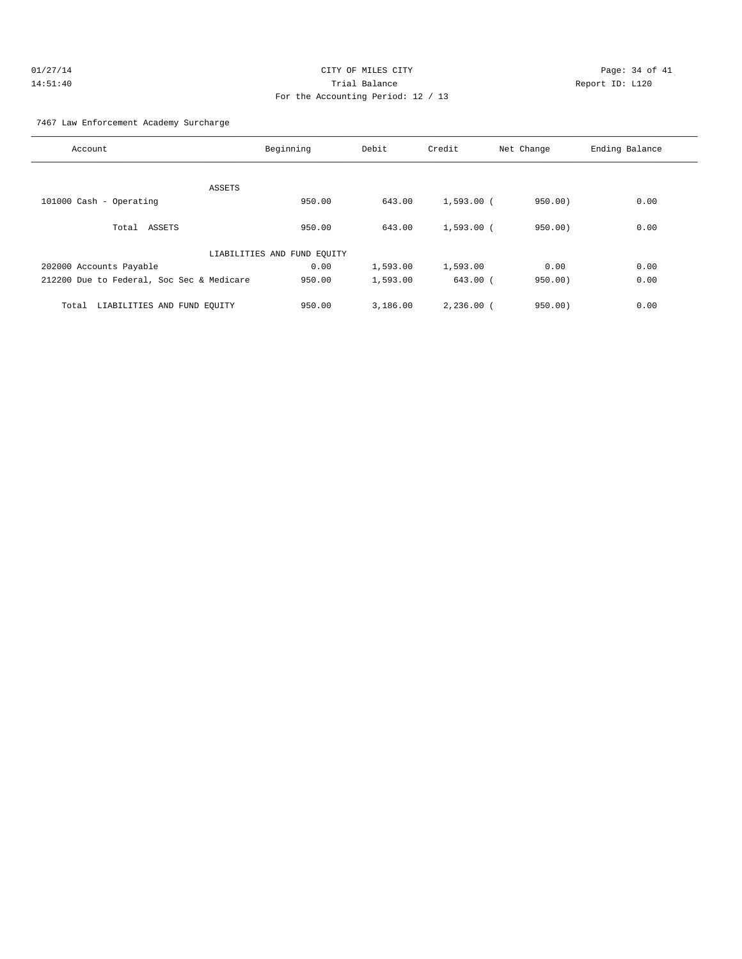# $O1/27/14$  Page: 34 of 41 14:51:40 Trial Balance Report ID: L120 For the Accounting Period: 12 / 13

#### 7467 Law Enforcement Academy Surcharge

|        | Debit               | Credit                                  | Net Change   | Ending Balance                                        |
|--------|---------------------|-----------------------------------------|--------------|-------------------------------------------------------|
|        |                     |                                         |              |                                                       |
|        |                     |                                         |              |                                                       |
| 950.00 | 643.00              |                                         | 950.00)      | 0.00                                                  |
|        |                     |                                         |              |                                                       |
| 950.00 | 643.00              |                                         | 950.00)      | 0.00                                                  |
|        |                     |                                         |              |                                                       |
| 0.00   | 1,593.00            | 1,593.00                                | 0.00         | 0.00                                                  |
| 950.00 | 1,593.00            |                                         | 950.00       | 0.00                                                  |
|        |                     |                                         |              | 0.00                                                  |
|        | Beginning<br>950.00 | LIABILITIES AND FUND EQUITY<br>3,186.00 | $2,236.00$ ( | $1,593.00$ (<br>$1,593.00$ (<br>$643.00$ (<br>950.00) |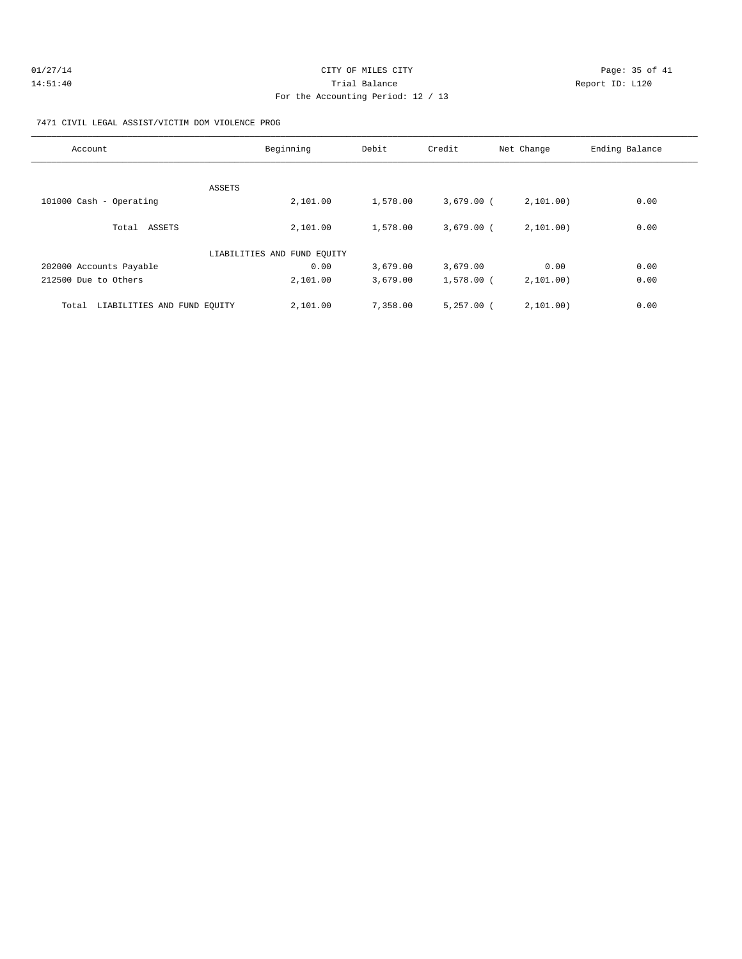| 01/27/14 | CITY OF MILES CITY | Page: 35 of 41  |
|----------|--------------------|-----------------|
| 14:51:40 | Trial Balance      | Report ID: L120 |
|          |                    |                 |

#### 7471 CIVIL LEGAL ASSIST/VICTIM DOM VIOLENCE PROG

| Account                              | Beginning                   | Debit    | Credit       | Net Change  | Ending Balance |
|--------------------------------------|-----------------------------|----------|--------------|-------------|----------------|
| ASSETS                               |                             |          |              |             |                |
| 101000 Cash - Operating              | 2,101.00                    | 1,578.00 | $3,679.00$ ( | 2,101.00)   | 0.00           |
| Total ASSETS                         | 2,101.00                    | 1,578.00 | $3,679.00$ ( | 2, 101, 00) | 0.00           |
|                                      | LIABILITIES AND FUND EQUITY |          |              |             |                |
| 202000 Accounts Payable              | 0.00                        | 3,679.00 | 3,679.00     | 0.00        | 0.00           |
| 212500 Due to Others                 | 2,101.00                    | 3,679.00 | $1,578.00$ ( | 2, 101, 00) | 0.00           |
| LIABILITIES AND FUND EQUITY<br>Total | 2,101.00                    | 7,358.00 | $5,257.00$ ( | 2, 101, 00) | 0.00           |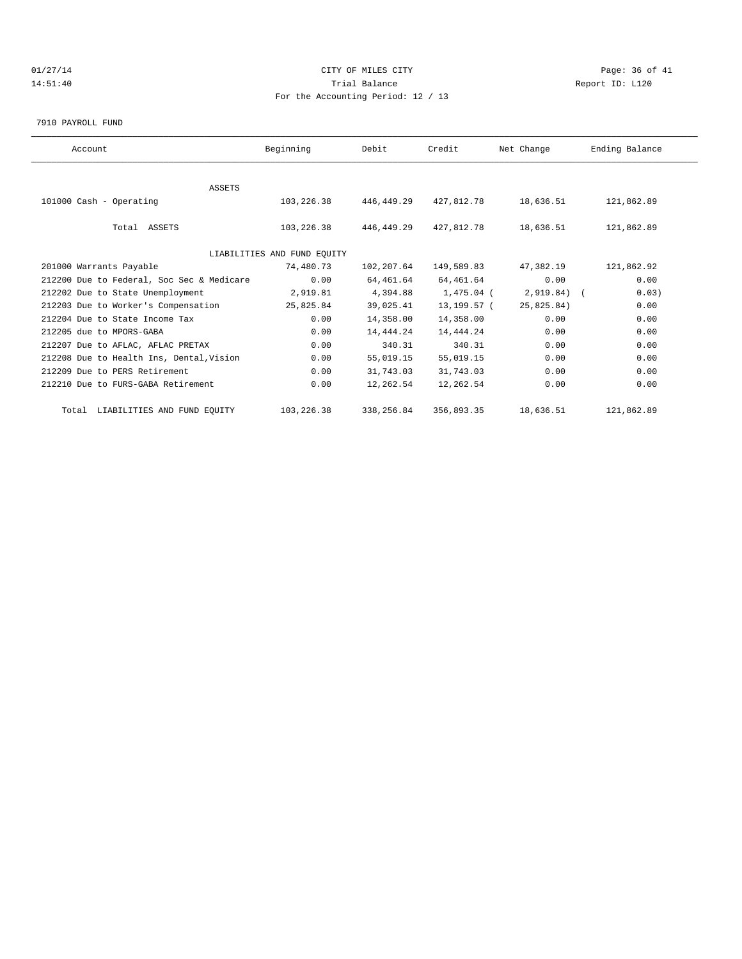# $CITY$   $CITY$   $CITY$   $PAGE: 36$  of 41 14:51:40 Trial Balance Report ID: L120 For the Accounting Period: 12 / 13

7910 PAYROLL FUND

| Account                                   | Beginning                   | Debit      | Credit      | Net Change   | Ending Balance |
|-------------------------------------------|-----------------------------|------------|-------------|--------------|----------------|
|                                           |                             |            |             |              |                |
|                                           | <b>ASSETS</b>               |            |             |              |                |
| 101000 Cash - Operating                   | 103,226.38                  | 446,449.29 | 427,812.78  | 18,636.51    | 121,862.89     |
|                                           |                             |            |             |              |                |
| Total ASSETS                              | 103,226.38                  | 446,449.29 | 427,812.78  | 18,636.51    | 121,862.89     |
|                                           |                             |            |             |              |                |
|                                           | LIABILITIES AND FUND EQUITY |            |             |              |                |
| 201000 Warrants Payable                   | 74,480.73                   | 102,207.64 | 149,589.83  | 47,382.19    | 121,862.92     |
| 212200 Due to Federal, Soc Sec & Medicare | 0.00                        | 64,461.64  | 64,461.64   | 0.00         | 0.00           |
| 212202 Due to State Unemployment          | 2,919.81                    | 4,394.88   | 1,475.04 (  | $2,919.84$ ( | 0.03)          |
| 212203 Due to Worker's Compensation       | 25,825.84                   | 39,025.41  | 13,199.57 ( | 25,825.84)   | 0.00           |
| 212204 Due to State Income Tax            | 0.00                        | 14,358.00  | 14,358.00   | 0.00         | 0.00           |
| 212205 due to MPORS-GABA                  | 0.00                        | 14,444.24  | 14,444.24   | 0.00         | 0.00           |
| 212207 Due to AFLAC, AFLAC PRETAX         | 0.00                        | 340.31     | 340.31      | 0.00         | 0.00           |
| 212208 Due to Health Ins, Dental, Vision  | 0.00                        | 55,019.15  | 55,019.15   | 0.00         | 0.00           |
| 212209 Due to PERS Retirement             | 0.00                        | 31,743.03  | 31,743.03   | 0.00         | 0.00           |
| 212210 Due to FURS-GABA Retirement        | 0.00                        | 12,262.54  | 12,262.54   | 0.00         | 0.00           |
| Total LIABILITIES AND FUND EQUITY         | 103,226.38                  | 338,256.84 | 356,893.35  | 18,636.51    | 121,862.89     |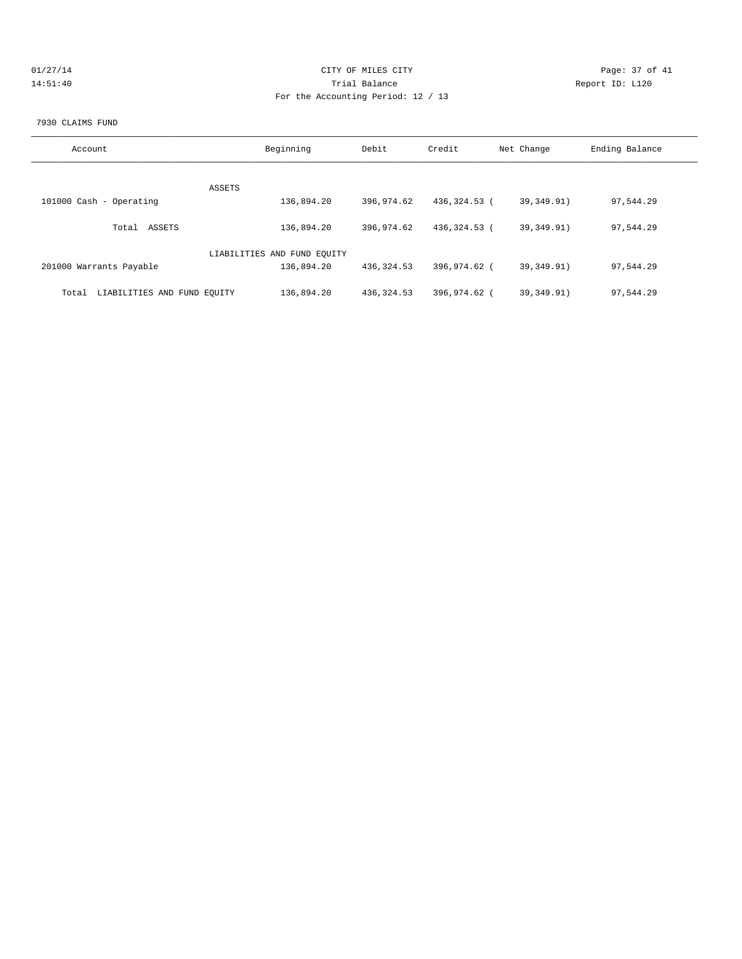| 01/27/14 |  |  |  |  |
|----------|--|--|--|--|
| 14:51:40 |  |  |  |  |

# CITY OF MILES CITY CONTROL CONTROL CONTROL CONTROL CONTROL PAGE: 37 of 41 14:51:40 Trial Balance Report ID: L120 For the Accounting Period: 12 / 13

#### 7930 CLAIMS FUND

| Account                              | Beginning                   | Debit       | Credit       | Net Change   | Ending Balance |
|--------------------------------------|-----------------------------|-------------|--------------|--------------|----------------|
| ASSETS                               |                             |             |              |              |                |
| 101000 Cash - Operating              | 136,894.20                  | 396,974.62  | 436,324.53 ( | 39,349.91)   | 97,544.29      |
| Total ASSETS                         | 136,894.20                  | 396,974.62  | 436,324.53 ( | 39,349.91)   | 97,544.29      |
|                                      | LIABILITIES AND FUND EOUITY |             |              |              |                |
| 201000 Warrants Payable              | 136,894.20                  | 436, 324.53 | 396,974.62 ( | 39, 349, 91) | 97,544.29      |
| LIABILITIES AND FUND EOUITY<br>Total | 136,894.20                  | 436, 324.53 | 396,974.62 ( | 39, 349, 91) | 97.544.29      |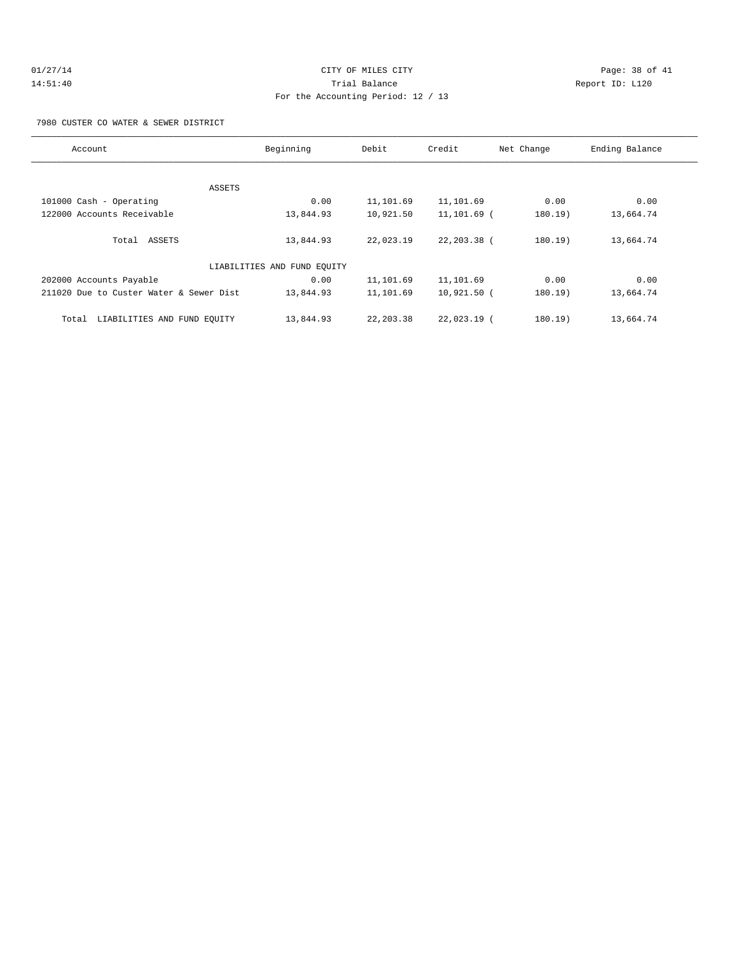# $O1/27/14$  Page: 38 of 41 14:51:40 Trial Balance Report ID: L120 For the Accounting Period: 12 / 13

7980 CUSTER CO WATER & SEWER DISTRICT

| Account                                 | Beginning                   | Debit      | Credit         | Net Change | Ending Balance |
|-----------------------------------------|-----------------------------|------------|----------------|------------|----------------|
|                                         |                             |            |                |            |                |
| ASSETS                                  |                             |            |                |            |                |
| 101000 Cash - Operating                 | 0.00                        | 11,101.69  | 11,101.69      | 0.00       | 0.00           |
| 122000 Accounts Receivable              | 13,844.93                   | 10,921.50  | 11,101.69 (    | 180.19)    | 13,664.74      |
|                                         |                             |            |                |            |                |
| Total ASSETS                            | 13,844.93                   | 22,023.19  | $22, 203.38$ ( | 180.19)    | 13,664.74      |
|                                         |                             |            |                |            |                |
|                                         | LIABILITIES AND FUND EQUITY |            |                |            |                |
| 202000 Accounts Payable                 | 0.00                        | 11,101.69  | 11,101.69      | 0.00       | 0.00           |
| 211020 Due to Custer Water & Sewer Dist | 13,844.93                   | 11,101.69  | 10,921.50 (    | 180.19)    | 13,664.74      |
|                                         |                             |            |                |            |                |
| LIABILITIES AND FUND EOUITY<br>Total    | 13,844.93                   | 22, 203.38 | $22.023.19$ (  | 180.19)    | 13,664.74      |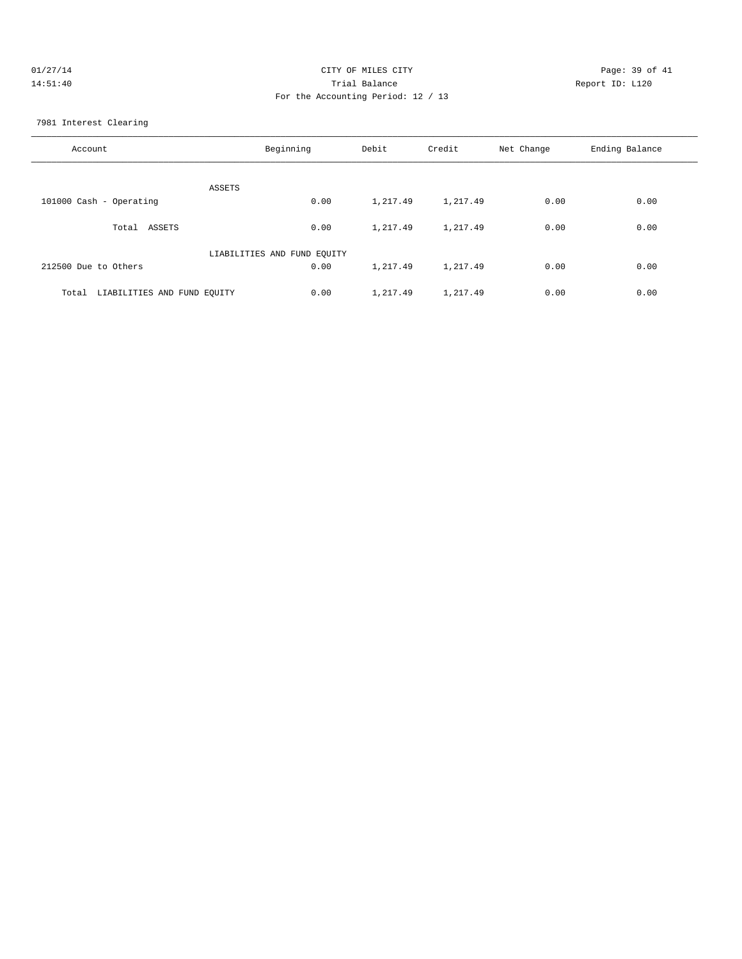| 01/27/14 | CITY OF MILES CITY                 | Page: 39 of 41  |
|----------|------------------------------------|-----------------|
| 14:51:40 | Trial Balance                      | Report ID: L120 |
|          | For the Accounting Period: 12 / 13 |                 |
|          |                                    |                 |

7981 Interest Clearing

| Account                              | Beginning                   | Debit    | Credit   | Net Change | Ending Balance |
|--------------------------------------|-----------------------------|----------|----------|------------|----------------|
| ASSETS                               |                             |          |          |            |                |
| 101000 Cash - Operating              | 0.00                        | 1,217.49 | 1,217.49 | 0.00       | 0.00           |
| ASSETS<br>Total                      | 0.00                        | 1,217.49 | 1,217.49 | 0.00       | 0.00           |
|                                      | LIABILITIES AND FUND EQUITY |          |          |            |                |
| 212500 Due to Others                 | 0.00                        | 1,217.49 | 1,217.49 | 0.00       | 0.00           |
| LIABILITIES AND FUND EQUITY<br>Total | 0.00                        | 1,217.49 | 1,217.49 | 0.00       | 0.00           |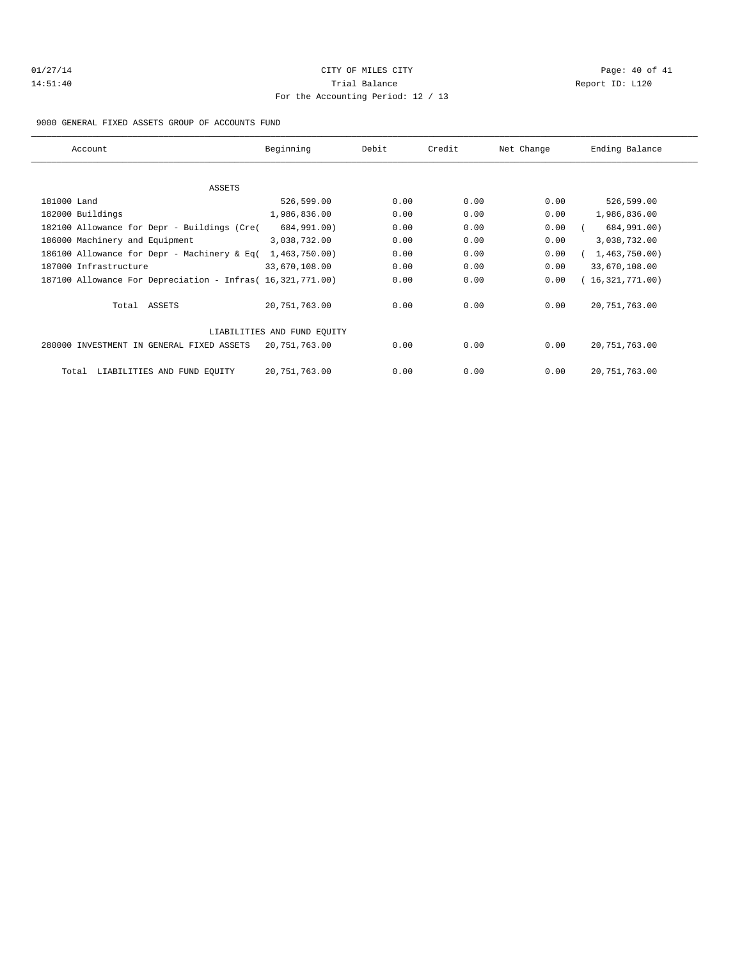# 01/27/14 Page: 40 of 41 14:51:40 Trial Balance Report ID: L120 For the Accounting Period: 12 / 13

#### 9000 GENERAL FIXED ASSETS GROUP OF ACCOUNTS FUND

| Account                                                    | Beginning                   | Debit | Credit | Net Change | Ending Balance  |
|------------------------------------------------------------|-----------------------------|-------|--------|------------|-----------------|
|                                                            |                             |       |        |            |                 |
| ASSETS                                                     |                             |       |        |            |                 |
| 181000 Land                                                | 526,599.00                  | 0.00  | 0.00   | 0.00       | 526,599.00      |
| 182000 Buildings                                           | 1,986,836.00                | 0.00  | 0.00   | 0.00       | 1,986,836.00    |
| 182100 Allowance for Depr - Buildings (Cre(                | 684,991.00)                 | 0.00  | 0.00   | 0.00       | 684,991.00)     |
| 186000 Machinery and Equipment                             | 3,038,732.00                | 0.00  | 0.00   | 0.00       | 3,038,732.00    |
| 186100 Allowance for Depr - Machinery & Eq(                | 1,463,750.00)               | 0.00  | 0.00   | 0.00       | 1,463,750.00)   |
| 187000 Infrastructure                                      | 33,670,108.00               | 0.00  | 0.00   | 0.00       | 33,670,108.00   |
| 187100 Allowance For Depreciation - Infras( 16,321,771.00) |                             | 0.00  | 0.00   | 0.00       | (16,321,771.00) |
| Total ASSETS                                               | 20, 751, 763.00             | 0.00  | 0.00   | 0.00       | 20, 751, 763.00 |
|                                                            | LIABILITIES AND FUND EQUITY |       |        |            |                 |
| 280000 INVESTMENT IN GENERAL FIXED ASSETS                  | 20,751,763.00               | 0.00  | 0.00   | 0.00       | 20, 751, 763.00 |
| LIABILITIES AND FUND EQUITY<br>Total                       | 20,751,763.00               | 0.00  | 0.00   | 0.00       | 20, 751, 763.00 |